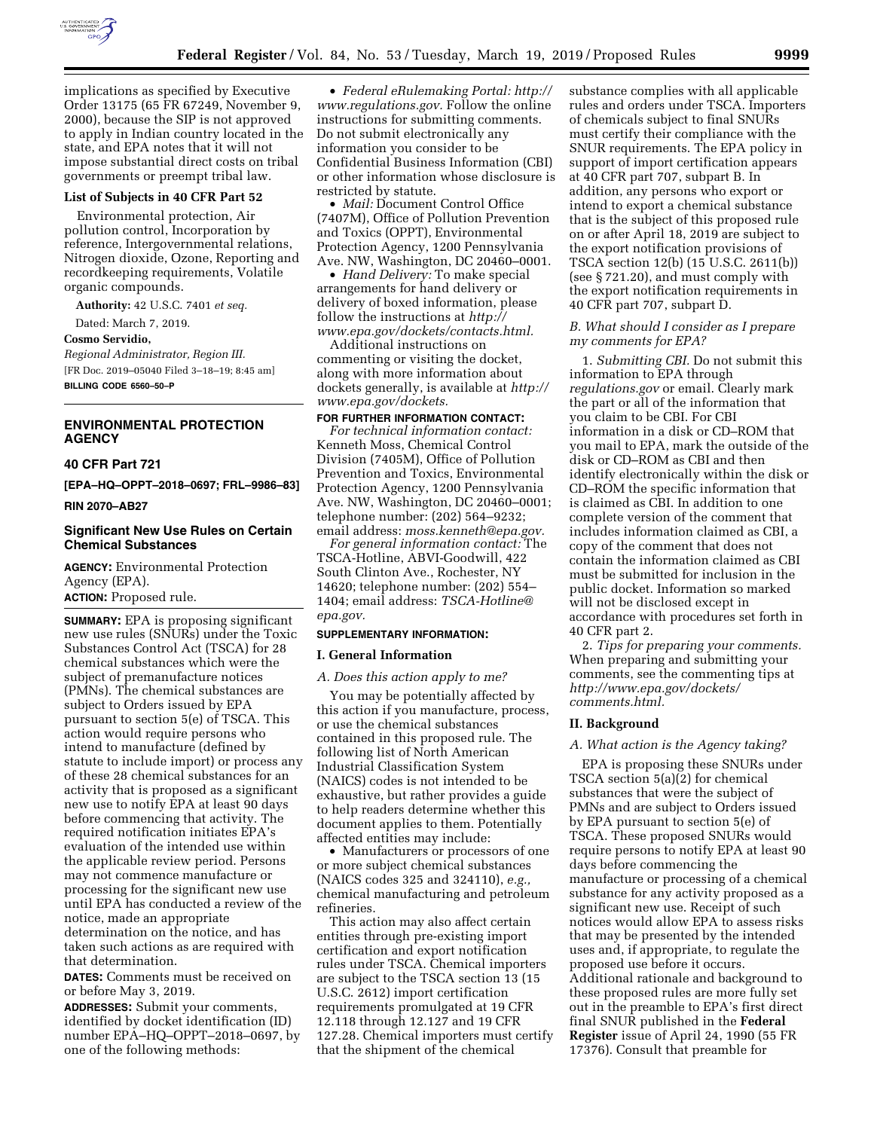

implications as specified by Executive Order 13175 (65 FR 67249, November 9, 2000), because the SIP is not approved to apply in Indian country located in the state, and EPA notes that it will not impose substantial direct costs on tribal governments or preempt tribal law.

# **List of Subjects in 40 CFR Part 52**

Environmental protection, Air pollution control, Incorporation by reference, Intergovernmental relations, Nitrogen dioxide, Ozone, Reporting and recordkeeping requirements, Volatile organic compounds.

**Authority:** 42 U.S.C. 7401 *et seq.* 

Dated: March 7, 2019.

**Cosmo Servidio,** 

*Regional Administrator, Region III.*  [FR Doc. 2019–05040 Filed 3–18–19; 8:45 am] **BILLING CODE 6560–50–P** 

# **ENVIRONMENTAL PROTECTION AGENCY**

# **40 CFR Part 721**

**[EPA–HQ–OPPT–2018–0697; FRL–9986–83]** 

**RIN 2070–AB27** 

# **Significant New Use Rules on Certain Chemical Substances**

**AGENCY:** Environmental Protection Agency (EPA). **ACTION:** Proposed rule.

**SUMMARY:** EPA is proposing significant new use rules (SNURs) under the Toxic Substances Control Act (TSCA) for 28 chemical substances which were the subject of premanufacture notices (PMNs). The chemical substances are subject to Orders issued by EPA pursuant to section 5(e) of TSCA. This action would require persons who intend to manufacture (defined by statute to include import) or process any of these 28 chemical substances for an activity that is proposed as a significant new use to notify EPA at least 90 days before commencing that activity. The required notification initiates EPA's evaluation of the intended use within the applicable review period. Persons may not commence manufacture or processing for the significant new use until EPA has conducted a review of the notice, made an appropriate determination on the notice, and has taken such actions as are required with that determination.

**DATES:** Comments must be received on or before May 3, 2019.

**ADDRESSES:** Submit your comments, identified by docket identification (ID) number EPA–HQ–OPPT–2018–0697, by one of the following methods:

• *Federal eRulemaking Portal: [http://](http://www.regulations.gov)  [www.regulations.gov.](http://www.regulations.gov)* Follow the online instructions for submitting comments. Do not submit electronically any information you consider to be Confidential Business Information (CBI) or other information whose disclosure is restricted by statute.

• *Mail:* Document Control Office (7407M), Office of Pollution Prevention and Toxics (OPPT), Environmental Protection Agency, 1200 Pennsylvania Ave. NW, Washington, DC 20460–0001.

• *Hand Delivery:* To make special arrangements for hand delivery or delivery of boxed information, please follow the instructions at *[http://](http://www.epa.gov/dockets/contacts.html) [www.epa.gov/dockets/contacts.html.](http://www.epa.gov/dockets/contacts.html)* 

Additional instructions on commenting or visiting the docket, along with more information about dockets generally, is available at *[http://](http://www.epa.gov/dockets) [www.epa.gov/dockets.](http://www.epa.gov/dockets)* 

## **FOR FURTHER INFORMATION CONTACT:**

*For technical information contact:*  Kenneth Moss, Chemical Control Division (7405M), Office of Pollution Prevention and Toxics, Environmental Protection Agency, 1200 Pennsylvania Ave. NW, Washington, DC 20460–0001; telephone number: (202) 564–9232; email address: *[moss.kenneth@epa.gov.](mailto:moss.kenneth@epa.gov)* 

*For general information contact:* The TSCA-Hotline, ABVI-Goodwill, 422 South Clinton Ave., Rochester, NY 14620; telephone number: (202) 554– 1404; email address: *[TSCA-Hotline@](mailto:TSCA-Hotline@epa.gov) [epa.gov.](mailto:TSCA-Hotline@epa.gov)* 

#### **SUPPLEMENTARY INFORMATION:**

# **I. General Information**

#### *A. Does this action apply to me?*

You may be potentially affected by this action if you manufacture, process, or use the chemical substances contained in this proposed rule. The following list of North American Industrial Classification System (NAICS) codes is not intended to be exhaustive, but rather provides a guide to help readers determine whether this document applies to them. Potentially affected entities may include:

• Manufacturers or processors of one or more subject chemical substances (NAICS codes 325 and 324110), *e.g.,*  chemical manufacturing and petroleum refineries.

This action may also affect certain entities through pre-existing import certification and export notification rules under TSCA. Chemical importers are subject to the TSCA section 13 (15 U.S.C. 2612) import certification requirements promulgated at 19 CFR 12.118 through 12.127 and 19 CFR 127.28. Chemical importers must certify that the shipment of the chemical

substance complies with all applicable rules and orders under TSCA. Importers of chemicals subject to final SNURs must certify their compliance with the SNUR requirements. The EPA policy in support of import certification appears at 40 CFR part 707, subpart B. In addition, any persons who export or intend to export a chemical substance that is the subject of this proposed rule on or after April 18, 2019 are subject to the export notification provisions of TSCA section 12(b) (15 U.S.C. 2611(b)) (see § 721.20), and must comply with the export notification requirements in 40 CFR part 707, subpart D.

# *B. What should I consider as I prepare my comments for EPA?*

1. *Submitting CBI.* Do not submit this information to EPA through *regulations.gov* or email. Clearly mark the part or all of the information that you claim to be CBI. For CBI information in a disk or CD–ROM that you mail to EPA, mark the outside of the disk or CD–ROM as CBI and then identify electronically within the disk or CD–ROM the specific information that is claimed as CBI. In addition to one complete version of the comment that includes information claimed as CBI, a copy of the comment that does not contain the information claimed as CBI must be submitted for inclusion in the public docket. Information so marked will not be disclosed except in accordance with procedures set forth in 40 CFR part 2.

2. *Tips for preparing your comments.*  When preparing and submitting your comments, see the commenting tips at *[http://www.epa.gov/dockets/](http://www.epa.gov/dockets/comments.html)  [comments.html.](http://www.epa.gov/dockets/comments.html)* 

### **II. Background**

#### *A. What action is the Agency taking?*

EPA is proposing these SNURs under TSCA section 5(a)(2) for chemical substances that were the subject of PMNs and are subject to Orders issued by EPA pursuant to section 5(e) of TSCA. These proposed SNURs would require persons to notify EPA at least 90 days before commencing the manufacture or processing of a chemical substance for any activity proposed as a significant new use. Receipt of such notices would allow EPA to assess risks that may be presented by the intended uses and, if appropriate, to regulate the proposed use before it occurs. Additional rationale and background to these proposed rules are more fully set out in the preamble to EPA's first direct final SNUR published in the **Federal Register** issue of April 24, 1990 (55 FR 17376). Consult that preamble for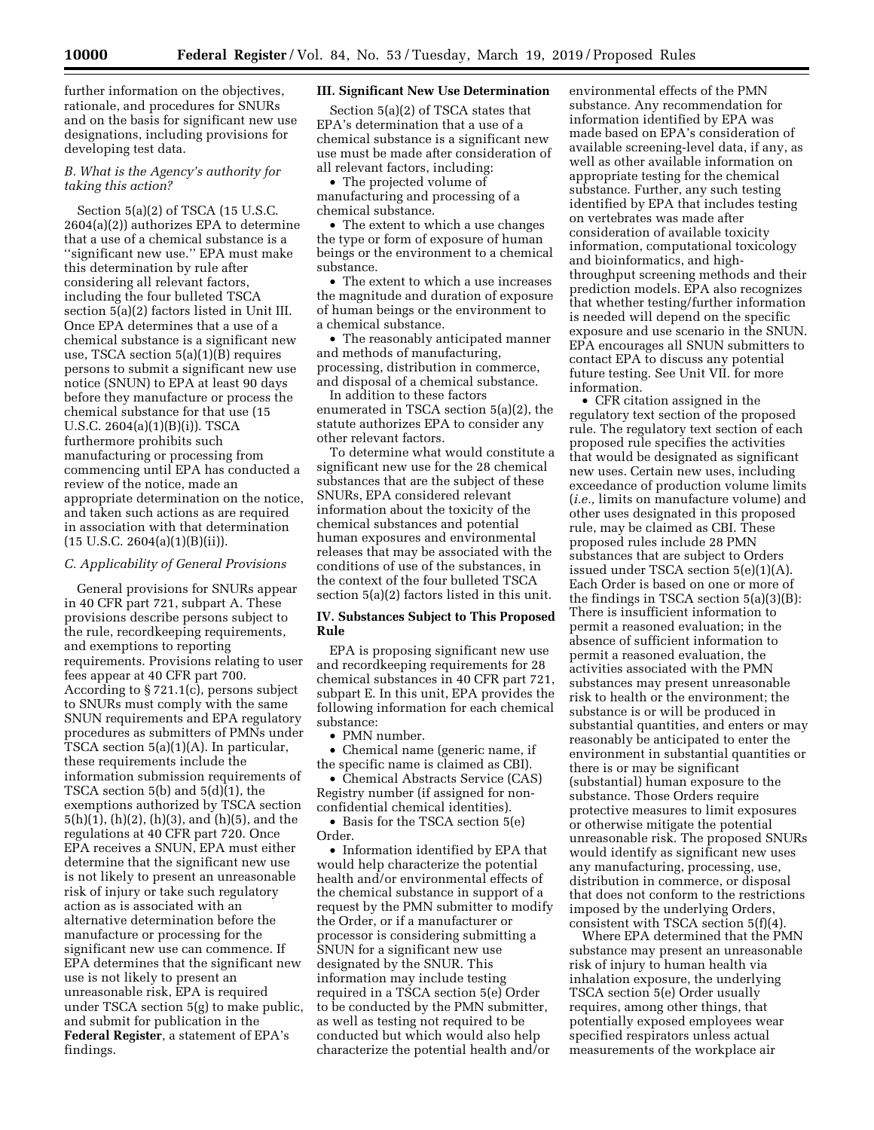further information on the objectives, rationale, and procedures for SNURs and on the basis for significant new use designations, including provisions for developing test data.

# *B. What is the Agency's authority for taking this action?*

Section 5(a)(2) of TSCA (15 U.S.C. 2604(a)(2)) authorizes EPA to determine that a use of a chemical substance is a ''significant new use.'' EPA must make this determination by rule after considering all relevant factors, including the four bulleted TSCA section 5(a)(2) factors listed in Unit III. Once EPA determines that a use of a chemical substance is a significant new use, TSCA section 5(a)(1)(B) requires persons to submit a significant new use notice (SNUN) to EPA at least 90 days before they manufacture or process the chemical substance for that use (15 U.S.C. 2604(a)(1)(B)(i)). TSCA furthermore prohibits such manufacturing or processing from commencing until EPA has conducted a review of the notice, made an appropriate determination on the notice, and taken such actions as are required in association with that determination  $(15 \text{ U.S.C. } 2604(a)(1)(B)(ii)).$ 

# *C. Applicability of General Provisions*

General provisions for SNURs appear in 40 CFR part 721, subpart A. These provisions describe persons subject to the rule, recordkeeping requirements, and exemptions to reporting requirements. Provisions relating to user fees appear at 40 CFR part 700. According to § 721.1(c), persons subject to SNURs must comply with the same SNUN requirements and EPA regulatory procedures as submitters of PMNs under TSCA section 5(a)(1)(A). In particular, these requirements include the information submission requirements of TSCA section 5(b) and  $5(d)(1)$ , the exemptions authorized by TSCA section 5(h)(1), (h)(2), (h)(3), and (h)(5), and the regulations at 40 CFR part 720. Once EPA receives a SNUN, EPA must either determine that the significant new use is not likely to present an unreasonable risk of injury or take such regulatory action as is associated with an alternative determination before the manufacture or processing for the significant new use can commence. If EPA determines that the significant new use is not likely to present an unreasonable risk, EPA is required under TSCA section 5(g) to make public, and submit for publication in the **Federal Register**, a statement of EPA's findings.

# **III. Significant New Use Determination**

Section 5(a)(2) of TSCA states that EPA's determination that a use of a chemical substance is a significant new use must be made after consideration of all relevant factors, including:

• The projected volume of manufacturing and processing of a chemical substance.

• The extent to which a use changes the type or form of exposure of human beings or the environment to a chemical substance.

• The extent to which a use increases the magnitude and duration of exposure of human beings or the environment to a chemical substance.

• The reasonably anticipated manner and methods of manufacturing, processing, distribution in commerce, and disposal of a chemical substance.

In addition to these factors enumerated in TSCA section 5(a)(2), the statute authorizes EPA to consider any other relevant factors.

To determine what would constitute a significant new use for the 28 chemical substances that are the subject of these SNURs, EPA considered relevant information about the toxicity of the chemical substances and potential human exposures and environmental releases that may be associated with the conditions of use of the substances, in the context of the four bulleted TSCA section 5(a)(2) factors listed in this unit.

# **IV. Substances Subject to This Proposed Rule**

EPA is proposing significant new use and recordkeeping requirements for 28 chemical substances in 40 CFR part 721, subpart E. In this unit, EPA provides the following information for each chemical substance:

• PMN number.

• Chemical name (generic name, if the specific name is claimed as CBI).

• Chemical Abstracts Service (CAS) Registry number (if assigned for nonconfidential chemical identities).

• Basis for the TSCA section 5(e) Order.

• Information identified by EPA that would help characterize the potential health and/or environmental effects of the chemical substance in support of a request by the PMN submitter to modify the Order, or if a manufacturer or processor is considering submitting a SNUN for a significant new use designated by the SNUR. This information may include testing required in a TSCA section 5(e) Order to be conducted by the PMN submitter, as well as testing not required to be conducted but which would also help characterize the potential health and/or

environmental effects of the PMN substance. Any recommendation for information identified by EPA was made based on EPA's consideration of available screening-level data, if any, as well as other available information on appropriate testing for the chemical substance. Further, any such testing identified by EPA that includes testing on vertebrates was made after consideration of available toxicity information, computational toxicology and bioinformatics, and highthroughput screening methods and their prediction models. EPA also recognizes that whether testing/further information is needed will depend on the specific exposure and use scenario in the SNUN. EPA encourages all SNUN submitters to contact EPA to discuss any potential future testing. See Unit VII. for more information.

• CFR citation assigned in the regulatory text section of the proposed rule. The regulatory text section of each proposed rule specifies the activities that would be designated as significant new uses. Certain new uses, including exceedance of production volume limits (*i.e.,* limits on manufacture volume) and other uses designated in this proposed rule, may be claimed as CBI. These proposed rules include 28 PMN substances that are subject to Orders issued under TSCA section 5(e)(1)(A). Each Order is based on one or more of the findings in TSCA section 5(a)(3)(B): There is insufficient information to permit a reasoned evaluation; in the absence of sufficient information to permit a reasoned evaluation, the activities associated with the PMN substances may present unreasonable risk to health or the environment; the substance is or will be produced in substantial quantities, and enters or may reasonably be anticipated to enter the environment in substantial quantities or there is or may be significant (substantial) human exposure to the substance. Those Orders require protective measures to limit exposures or otherwise mitigate the potential unreasonable risk. The proposed SNURs would identify as significant new uses any manufacturing, processing, use, distribution in commerce, or disposal that does not conform to the restrictions imposed by the underlying Orders, consistent with TSCA section 5(f)(4).

Where EPA determined that the PMN substance may present an unreasonable risk of injury to human health via inhalation exposure, the underlying TSCA section 5(e) Order usually requires, among other things, that potentially exposed employees wear specified respirators unless actual measurements of the workplace air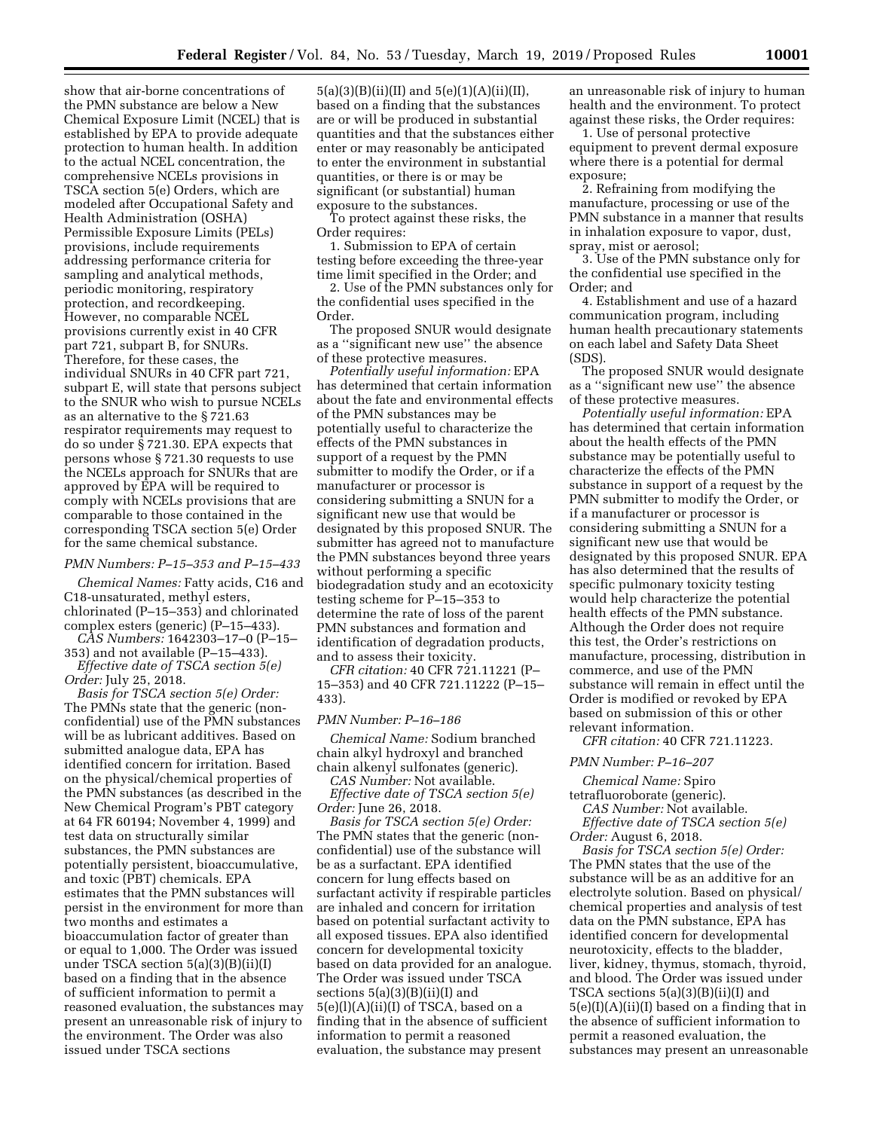show that air-borne concentrations of the PMN substance are below a New Chemical Exposure Limit (NCEL) that is established by EPA to provide adequate protection to human health. In addition to the actual NCEL concentration, the comprehensive NCELs provisions in TSCA section 5(e) Orders, which are modeled after Occupational Safety and Health Administration (OSHA) Permissible Exposure Limits (PELs) provisions, include requirements addressing performance criteria for sampling and analytical methods, periodic monitoring, respiratory protection, and recordkeeping. However, no comparable NCEL provisions currently exist in 40 CFR part 721, subpart B, for SNURs. Therefore, for these cases, the individual SNURs in 40 CFR part 721, subpart E, will state that persons subject to the SNUR who wish to pursue NCELs as an alternative to the § 721.63 respirator requirements may request to do so under § 721.30. EPA expects that persons whose § 721.30 requests to use the NCELs approach for SNURs that are approved by EPA will be required to comply with NCELs provisions that are comparable to those contained in the corresponding TSCA section 5(e) Order for the same chemical substance.

#### *PMN Numbers: P–15–353 and P–15–433*

*Chemical Names:* Fatty acids, C16 and C18-unsaturated, methyl esters, chlorinated (P–15–353) and chlorinated complex esters (generic) (P–15–433).

*CAS Numbers:* 1642303–17–0 (P–15– 353) and not available (P–15–433). *Effective date of TSCA section 5(e)* 

*Order:* July 25, 2018.

*Basis for TSCA section 5(e) Order:*  The PMNs state that the generic (nonconfidential) use of the PMN substances will be as lubricant additives. Based on submitted analogue data, EPA has identified concern for irritation. Based on the physical/chemical properties of the PMN substances (as described in the New Chemical Program's PBT category at 64 FR 60194; November 4, 1999) and test data on structurally similar substances, the PMN substances are potentially persistent, bioaccumulative, and toxic (PBT) chemicals. EPA estimates that the PMN substances will persist in the environment for more than two months and estimates a bioaccumulation factor of greater than or equal to 1,000. The Order was issued under TSCA section 5(a)(3)(B)(ii)(I) based on a finding that in the absence of sufficient information to permit a reasoned evaluation, the substances may present an unreasonable risk of injury to the environment. The Order was also issued under TSCA sections

5(a)(3)(B)(ii)(II) and 5(e)(1)(A)(ii)(II), based on a finding that the substances are or will be produced in substantial quantities and that the substances either enter or may reasonably be anticipated to enter the environment in substantial quantities, or there is or may be significant (or substantial) human exposure to the substances.

To protect against these risks, the Order requires:

1. Submission to EPA of certain testing before exceeding the three-year time limit specified in the Order; and

2. Use of the PMN substances only for the confidential uses specified in the Order.

The proposed SNUR would designate as a ''significant new use'' the absence of these protective measures.

*Potentially useful information:* EPA has determined that certain information about the fate and environmental effects of the PMN substances may be potentially useful to characterize the effects of the PMN substances in support of a request by the PMN submitter to modify the Order, or if a manufacturer or processor is considering submitting a SNUN for a significant new use that would be designated by this proposed SNUR. The submitter has agreed not to manufacture the PMN substances beyond three years without performing a specific biodegradation study and an ecotoxicity testing scheme for P–15–353 to determine the rate of loss of the parent PMN substances and formation and identification of degradation products, and to assess their toxicity.

*CFR citation:* 40 CFR 721.11221 (P– 15–353) and 40 CFR 721.11222 (P–15– 433).

# *PMN Number: P–16–186*

*Chemical Name:* Sodium branched chain alkyl hydroxyl and branched chain alkenyl sulfonates (generic). *CAS Number:* Not available.

*Effective date of TSCA section 5(e) Order:* June 26, 2018.

*Basis for TSCA section 5(e) Order:*  The PMN states that the generic (nonconfidential) use of the substance will be as a surfactant. EPA identified concern for lung effects based on surfactant activity if respirable particles are inhaled and concern for irritation based on potential surfactant activity to all exposed tissues. EPA also identified concern for developmental toxicity based on data provided for an analogue. The Order was issued under TSCA sections 5(a)(3)(B)(ii)(I) and 5(e)(l)(A)(ii)(I) of TSCA, based on a finding that in the absence of sufficient information to permit a reasoned evaluation, the substance may present

an unreasonable risk of injury to human health and the environment. To protect against these risks, the Order requires:

1. Use of personal protective equipment to prevent dermal exposure where there is a potential for dermal exposure;

2. Refraining from modifying the manufacture, processing or use of the PMN substance in a manner that results in inhalation exposure to vapor, dust, spray, mist or aerosol;

3. Use of the PMN substance only for the confidential use specified in the Order; and

4. Establishment and use of a hazard communication program, including human health precautionary statements on each label and Safety Data Sheet (SDS).

The proposed SNUR would designate as a ''significant new use'' the absence of these protective measures.

*Potentially useful information:* EPA has determined that certain information about the health effects of the PMN substance may be potentially useful to characterize the effects of the PMN substance in support of a request by the PMN submitter to modify the Order, or if a manufacturer or processor is considering submitting a SNUN for a significant new use that would be designated by this proposed SNUR. EPA has also determined that the results of specific pulmonary toxicity testing would help characterize the potential health effects of the PMN substance. Although the Order does not require this test, the Order's restrictions on manufacture, processing, distribution in commerce, and use of the PMN substance will remain in effect until the Order is modified or revoked by EPA based on submission of this or other relevant information.

*CFR citation:* 40 CFR 721.11223.

#### *PMN Number: P–16–207*

*Chemical Name:* Spiro tetrafluoroborate (generic).

*CAS Number:* Not available. *Effective date of TSCA section 5(e) Order:* August 6, 2018.

*Basis for TSCA section 5(e) Order:*  The PMN states that the use of the substance will be as an additive for an electrolyte solution. Based on physical/ chemical properties and analysis of test data on the PMN substance, EPA has identified concern for developmental neurotoxicity, effects to the bladder, liver, kidney, thymus, stomach, thyroid, and blood. The Order was issued under TSCA sections 5(a)(3)(B)(ii)(I) and 5(e)(I)(A)(ii)(I) based on a finding that in the absence of sufficient information to permit a reasoned evaluation, the substances may present an unreasonable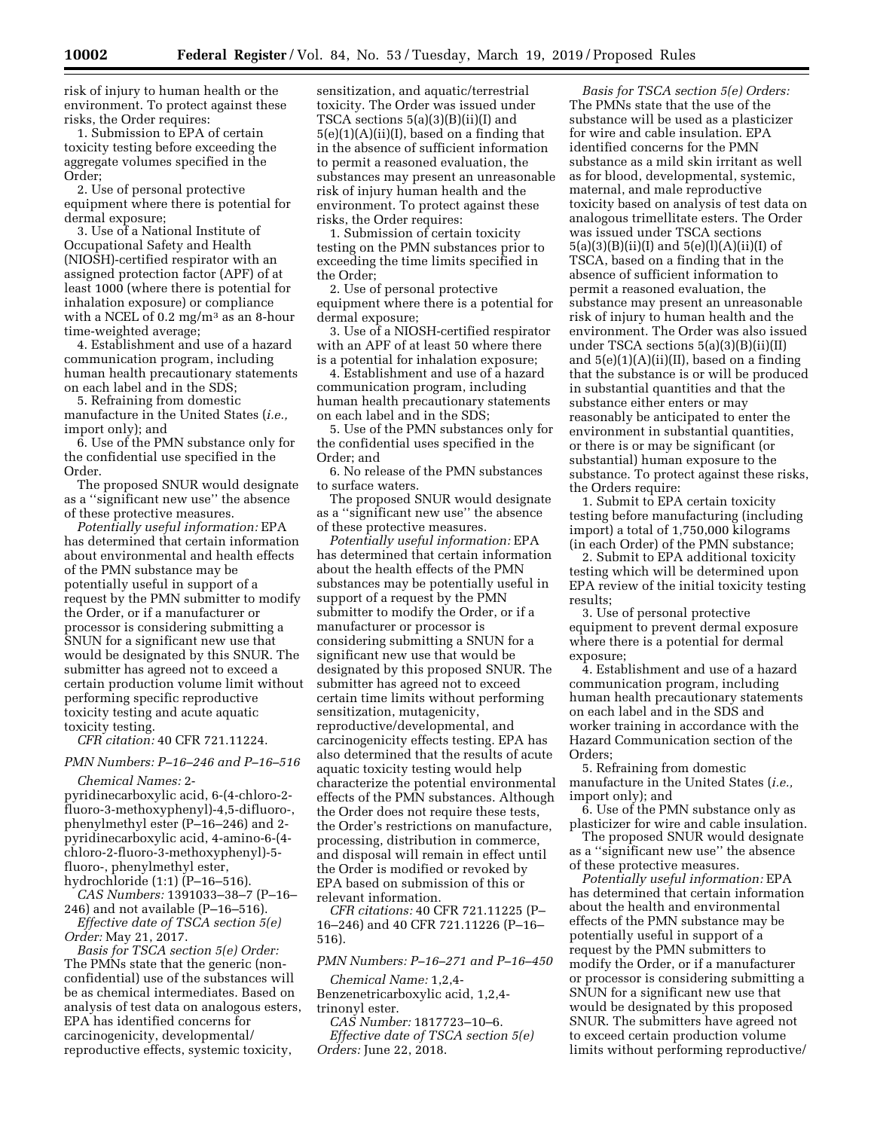risk of injury to human health or the environment. To protect against these risks, the Order requires:

1. Submission to EPA of certain toxicity testing before exceeding the aggregate volumes specified in the Order;

2. Use of personal protective equipment where there is potential for dermal exposure;

3. Use of a National Institute of Occupational Safety and Health (NIOSH)-certified respirator with an assigned protection factor (APF) of at least 1000 (where there is potential for inhalation exposure) or compliance with a NCEL of  $0.2 \text{ mg/m}^3$  as an 8-hour time-weighted average;

4. Establishment and use of a hazard communication program, including human health precautionary statements on each label and in the SDS;

5. Refraining from domestic manufacture in the United States (*i.e.,*  import only); and

6. Use of the PMN substance only for the confidential use specified in the Order.

The proposed SNUR would designate as a ''significant new use'' the absence of these protective measures.

*Potentially useful information:* EPA has determined that certain information about environmental and health effects of the PMN substance may be potentially useful in support of a request by the PMN submitter to modify the Order, or if a manufacturer or processor is considering submitting a SNUN for a significant new use that would be designated by this SNUR. The submitter has agreed not to exceed a certain production volume limit without performing specific reproductive toxicity testing and acute aquatic toxicity testing.

*CFR citation:* 40 CFR 721.11224.

# *PMN Numbers: P–16–246 and P–16–516*

*Chemical Names:* 2 pyridinecarboxylic acid, 6-(4-chloro-2 fluoro-3-methoxyphenyl)-4,5-difluoro-, phenylmethyl ester (P–16–246) and 2 pyridinecarboxylic acid, 4-amino-6-(4 chloro-2-fluoro-3-methoxyphenyl)-5 fluoro-, phenylmethyl ester, hydrochloride (1:1) (P–16–516).

*CAS Numbers:* 1391033–38–7 (P–16– 246) and not available (P–16–516).

*Effective date of TSCA section 5(e) Order:* May 21, 2017.

*Basis for TSCA section 5(e) Order:*  The PMNs state that the generic (nonconfidential) use of the substances will be as chemical intermediates. Based on analysis of test data on analogous esters, EPA has identified concerns for carcinogenicity, developmental/ reproductive effects, systemic toxicity,

sensitization, and aquatic/terrestrial toxicity. The Order was issued under TSCA sections 5(a)(3)(B)(ii)(I) and  $5(e)(1)(A)(ii)(I)$ , based on a finding that in the absence of sufficient information to permit a reasoned evaluation, the substances may present an unreasonable risk of injury human health and the environment. To protect against these risks, the Order requires:

1. Submission of certain toxicity testing on the PMN substances prior to exceeding the time limits specified in the Order;

2. Use of personal protective equipment where there is a potential for dermal exposure;

3. Use of a NIOSH-certified respirator with an APF of at least 50 where there is a potential for inhalation exposure;

4. Establishment and use of a hazard communication program, including human health precautionary statements on each label and in the SDS;

5. Use of the PMN substances only for the confidential uses specified in the Order; and

6. No release of the PMN substances to surface waters.

The proposed SNUR would designate as a ''significant new use'' the absence of these protective measures.

*Potentially useful information:* EPA has determined that certain information about the health effects of the PMN substances may be potentially useful in support of a request by the PMN submitter to modify the Order, or if a manufacturer or processor is considering submitting a SNUN for a significant new use that would be designated by this proposed SNUR. The submitter has agreed not to exceed certain time limits without performing sensitization, mutagenicity, reproductive/developmental, and carcinogenicity effects testing. EPA has also determined that the results of acute aquatic toxicity testing would help characterize the potential environmental effects of the PMN substances. Although the Order does not require these tests, the Order's restrictions on manufacture, processing, distribution in commerce, and disposal will remain in effect until the Order is modified or revoked by EPA based on submission of this or relevant information.

*CFR citations:* 40 CFR 721.11225 (P– 16–246) and 40 CFR 721.11226 (P–16– 516).

*PMN Numbers: P–16–271 and P–16–450* 

*Chemical Name:* 1,2,4- Benzenetricarboxylic acid, 1,2,4 trinonyl ester.

*CAS Number:* 1817723–10–6. *Effective date of TSCA section 5(e) Orders:* June 22, 2018.

*Basis for TSCA section 5(e) Orders:*  The PMNs state that the use of the substance will be used as a plasticizer for wire and cable insulation. EPA identified concerns for the PMN substance as a mild skin irritant as well as for blood, developmental, systemic, maternal, and male reproductive toxicity based on analysis of test data on analogous trimellitate esters. The Order was issued under TSCA sections  $5(a)(3)(B)(ii)(I)$  and  $5(e)(I)(A)(ii)(I)$  of TSCA, based on a finding that in the absence of sufficient information to permit a reasoned evaluation, the substance may present an unreasonable risk of injury to human health and the environment. The Order was also issued under TSCA sections 5(a)(3)(B)(ii)(II) and  $5(e)(1)(A)(ii)(II)$ , based on a finding that the substance is or will be produced in substantial quantities and that the substance either enters or may reasonably be anticipated to enter the environment in substantial quantities, or there is or may be significant (or substantial) human exposure to the substance. To protect against these risks, the Orders require:

1. Submit to EPA certain toxicity testing before manufacturing (including import) a total of 1,750,000 kilograms (in each Order) of the PMN substance;

2. Submit to EPA additional toxicity testing which will be determined upon EPA review of the initial toxicity testing results;

3. Use of personal protective equipment to prevent dermal exposure where there is a potential for dermal exposure;

4. Establishment and use of a hazard communication program, including human health precautionary statements on each label and in the SDS and worker training in accordance with the Hazard Communication section of the Orders;

5. Refraining from domestic manufacture in the United States (*i.e.,*  import only); and

6. Use of the PMN substance only as plasticizer for wire and cable insulation.

The proposed SNUR would designate as a ''significant new use'' the absence of these protective measures.

*Potentially useful information:* EPA has determined that certain information about the health and environmental effects of the PMN substance may be potentially useful in support of a request by the PMN submitters to modify the Order, or if a manufacturer or processor is considering submitting a SNUN for a significant new use that would be designated by this proposed SNUR. The submitters have agreed not to exceed certain production volume limits without performing reproductive/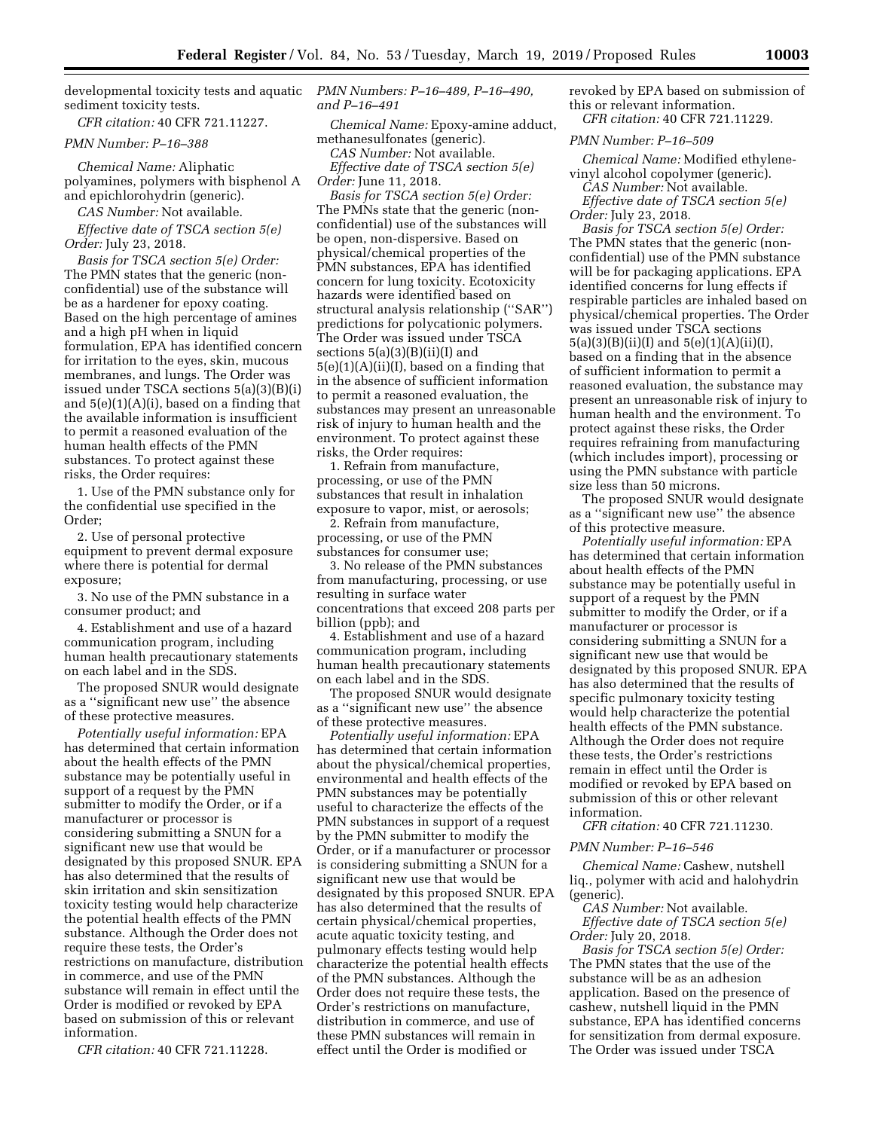developmental toxicity tests and aquatic sediment toxicity tests.

*CFR citation:* 40 CFR 721.11227.

# *PMN Number: P–16–388*

*Chemical Name:* Aliphatic polyamines, polymers with bisphenol A and epichlorohydrin (generic).

*CAS Number:* Not available.

*Effective date of TSCA section 5(e) Order:* July 23, 2018.

*Basis for TSCA section 5(e) Order:*  The PMN states that the generic (nonconfidential) use of the substance will be as a hardener for epoxy coating. Based on the high percentage of amines and a high pH when in liquid formulation, EPA has identified concern for irritation to the eyes, skin, mucous membranes, and lungs. The Order was issued under TSCA sections 5(a)(3)(B)(i) and  $5(e)(1)(A)(i)$ , based on a finding that the available information is insufficient to permit a reasoned evaluation of the human health effects of the PMN substances. To protect against these risks, the Order requires:

1. Use of the PMN substance only for the confidential use specified in the Order;

2. Use of personal protective equipment to prevent dermal exposure where there is potential for dermal exposure;

3. No use of the PMN substance in a consumer product; and

4. Establishment and use of a hazard communication program, including human health precautionary statements on each label and in the SDS.

The proposed SNUR would designate as a ''significant new use'' the absence of these protective measures.

*Potentially useful information:* EPA has determined that certain information about the health effects of the PMN substance may be potentially useful in support of a request by the PMN submitter to modify the Order, or if a manufacturer or processor is considering submitting a SNUN for a significant new use that would be designated by this proposed SNUR. EPA has also determined that the results of skin irritation and skin sensitization toxicity testing would help characterize the potential health effects of the PMN substance. Although the Order does not require these tests, the Order's restrictions on manufacture, distribution in commerce, and use of the PMN substance will remain in effect until the Order is modified or revoked by EPA based on submission of this or relevant information.

*CFR citation:* 40 CFR 721.11228.

*PMN Numbers: P–16–489, P–16–490, and P–16–491* 

*Chemical Name:* Epoxy-amine adduct, methanesulfonates (generic).

*CAS Number:* Not available.

*Effective date of TSCA section 5(e) Order:* June 11, 2018.

*Basis for TSCA section 5(e) Order:*  The PMNs state that the generic (nonconfidential) use of the substances will be open, non-dispersive. Based on physical/chemical properties of the PMN substances, EPA has identified concern for lung toxicity. Ecotoxicity hazards were identified based on structural analysis relationship (''SAR'') predictions for polycationic polymers. The Order was issued under TSCA sections 5(a)(3)(B)(ii)(I) and  $5(e)(1)(A)(ii)(I)$ , based on a finding that in the absence of sufficient information to permit a reasoned evaluation, the substances may present an unreasonable risk of injury to human health and the environment. To protect against these risks, the Order requires:

1. Refrain from manufacture, processing, or use of the PMN substances that result in inhalation exposure to vapor, mist, or aerosols;

2. Refrain from manufacture, processing, or use of the PMN substances for consumer use;

3. No release of the PMN substances from manufacturing, processing, or use resulting in surface water concentrations that exceed 208 parts per billion (ppb); and

4. Establishment and use of a hazard communication program, including human health precautionary statements on each label and in the SDS.

The proposed SNUR would designate as a ''significant new use'' the absence of these protective measures.

*Potentially useful information:* EPA has determined that certain information about the physical/chemical properties, environmental and health effects of the PMN substances may be potentially useful to characterize the effects of the PMN substances in support of a request by the PMN submitter to modify the Order, or if a manufacturer or processor is considering submitting a SNUN for a significant new use that would be designated by this proposed SNUR. EPA has also determined that the results of certain physical/chemical properties, acute aquatic toxicity testing, and pulmonary effects testing would help characterize the potential health effects of the PMN substances. Although the Order does not require these tests, the Order's restrictions on manufacture, distribution in commerce, and use of these PMN substances will remain in effect until the Order is modified or

revoked by EPA based on submission of this or relevant information. *CFR citation:* 40 CFR 721.11229.

#### *PMN Number: P–16–509*

*Chemical Name:* Modified ethylenevinyl alcohol copolymer (generic).

*CAS Number:* Not available.

*Effective date of TSCA section 5(e) Order:* July 23, 2018.

*Basis for TSCA section 5(e) Order:*  The PMN states that the generic (nonconfidential) use of the PMN substance will be for packaging applications. EPA identified concerns for lung effects if respirable particles are inhaled based on physical/chemical properties. The Order was issued under TSCA sections 5(a)(3)(B)(ii)(I) and 5(e)(1)(A)(ii)(I), based on a finding that in the absence of sufficient information to permit a reasoned evaluation, the substance may present an unreasonable risk of injury to human health and the environment. To protect against these risks, the Order requires refraining from manufacturing (which includes import), processing or using the PMN substance with particle size less than 50 microns.

The proposed SNUR would designate as a ''significant new use'' the absence of this protective measure.

*Potentially useful information:* EPA has determined that certain information about health effects of the PMN substance may be potentially useful in support of a request by the PMN submitter to modify the Order, or if a manufacturer or processor is considering submitting a SNUN for a significant new use that would be designated by this proposed SNUR. EPA has also determined that the results of specific pulmonary toxicity testing would help characterize the potential health effects of the PMN substance. Although the Order does not require these tests, the Order's restrictions remain in effect until the Order is modified or revoked by EPA based on submission of this or other relevant information.

*CFR citation:* 40 CFR 721.11230.

### *PMN Number: P–16–546*

*Chemical Name:* Cashew, nutshell liq., polymer with acid and halohydrin (generic).

*CAS Number:* Not available. *Effective date of TSCA section 5(e) Order:* July 20, 2018.

*Basis for TSCA section 5(e) Order:*  The PMN states that the use of the substance will be as an adhesion application. Based on the presence of cashew, nutshell liquid in the PMN substance, EPA has identified concerns for sensitization from dermal exposure. The Order was issued under TSCA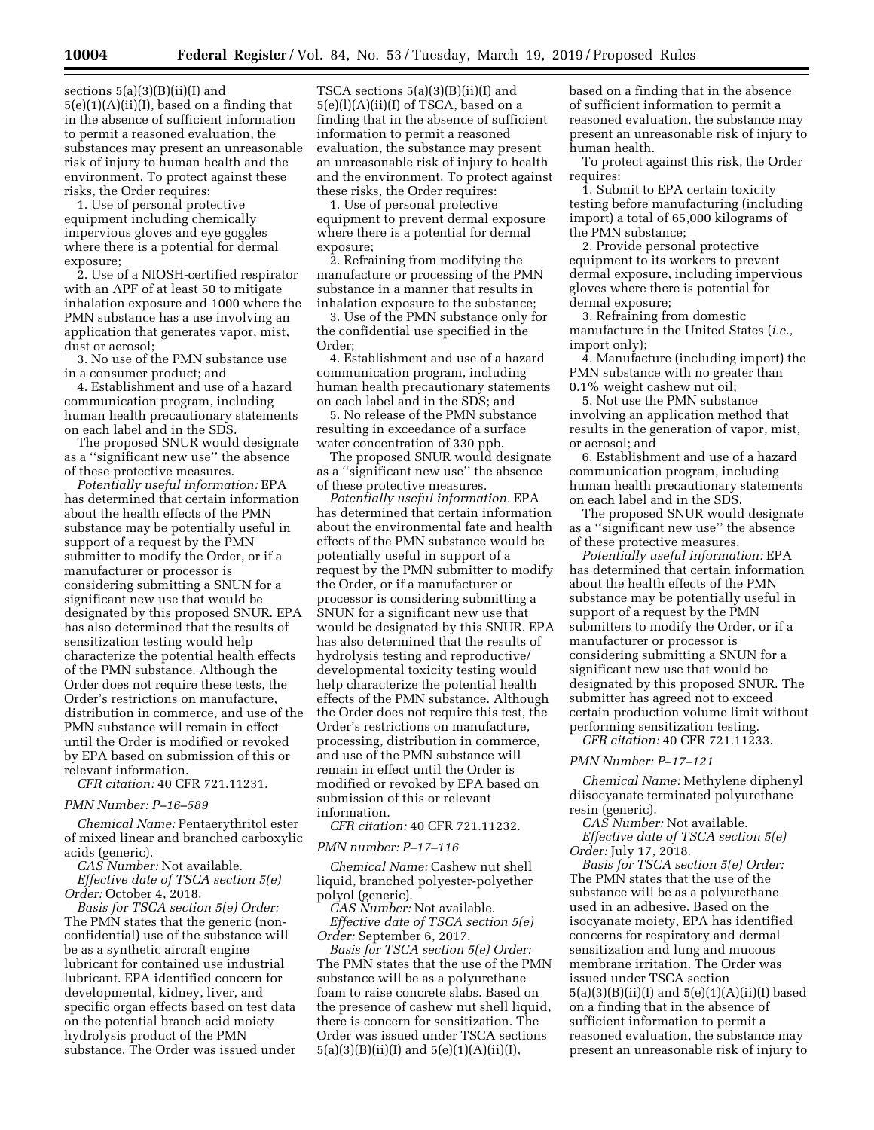sections  $5(a)(3)(B)(ii)(I)$  and  $5(e)(1)(A)(ii)(I)$ , based on a finding that in the absence of sufficient information to permit a reasoned evaluation, the substances may present an unreasonable risk of injury to human health and the environment. To protect against these risks, the Order requires:

1. Use of personal protective equipment including chemically impervious gloves and eye goggles where there is a potential for dermal exposure;

2. Use of a NIOSH-certified respirator with an APF of at least 50 to mitigate inhalation exposure and 1000 where the PMN substance has a use involving an application that generates vapor, mist, dust or aerosol;

3. No use of the PMN substance use in a consumer product; and

4. Establishment and use of a hazard communication program, including human health precautionary statements on each label and in the SDS.

The proposed SNUR would designate as a ''significant new use'' the absence of these protective measures.

*Potentially useful information:* EPA has determined that certain information about the health effects of the PMN substance may be potentially useful in support of a request by the PMN submitter to modify the Order, or if a manufacturer or processor is considering submitting a SNUN for a significant new use that would be designated by this proposed SNUR. EPA has also determined that the results of sensitization testing would help characterize the potential health effects of the PMN substance. Although the Order does not require these tests, the Order's restrictions on manufacture, distribution in commerce, and use of the PMN substance will remain in effect until the Order is modified or revoked by EPA based on submission of this or relevant information.

*CFR citation:* 40 CFR 721.11231.

# *PMN Number: P–16–589*

*Chemical Name:* Pentaerythritol ester of mixed linear and branched carboxylic acids (generic).

*CAS Number:* Not available. *Effective date of TSCA section 5(e) Order:* October 4, 2018.

*Basis for TSCA section 5(e) Order:*  The PMN states that the generic (nonconfidential) use of the substance will be as a synthetic aircraft engine lubricant for contained use industrial lubricant. EPA identified concern for developmental, kidney, liver, and specific organ effects based on test data on the potential branch acid moiety hydrolysis product of the PMN substance. The Order was issued under

TSCA sections 5(a)(3)(B)(ii)(I) and 5(e)(l)(A)(ii)(I) of TSCA, based on a finding that in the absence of sufficient information to permit a reasoned evaluation, the substance may present an unreasonable risk of injury to health and the environment. To protect against these risks, the Order requires:

1. Use of personal protective equipment to prevent dermal exposure where there is a potential for dermal exposure;

2. Refraining from modifying the manufacture or processing of the PMN substance in a manner that results in inhalation exposure to the substance;

3. Use of the PMN substance only for the confidential use specified in the Order;

4. Establishment and use of a hazard communication program, including human health precautionary statements on each label and in the SDS; and

5. No release of the PMN substance resulting in exceedance of a surface water concentration of 330 ppb.

The proposed SNUR would designate as a ''significant new use'' the absence of these protective measures.

*Potentially useful information.* EPA has determined that certain information about the environmental fate and health effects of the PMN substance would be potentially useful in support of a request by the PMN submitter to modify the Order, or if a manufacturer or processor is considering submitting a SNUN for a significant new use that would be designated by this SNUR. EPA has also determined that the results of hydrolysis testing and reproductive/ developmental toxicity testing would help characterize the potential health effects of the PMN substance. Although the Order does not require this test, the Order's restrictions on manufacture, processing, distribution in commerce, and use of the PMN substance will remain in effect until the Order is modified or revoked by EPA based on submission of this or relevant information.

*CFR citation:* 40 CFR 721.11232.

#### *PMN number: P–17–116*

*Chemical Name:* Cashew nut shell liquid, branched polyester-polyether polyol (generic).

*CAS Number:* Not available. *Effective date of TSCA section 5(e)* 

*Order:* September 6, 2017.

*Basis for TSCA section 5(e) Order:*  The PMN states that the use of the PMN substance will be as a polyurethane foam to raise concrete slabs. Based on the presence of cashew nut shell liquid, there is concern for sensitization. The Order was issued under TSCA sections  $5(a)(3)(B)(ii)(I)$  and  $5(e)(1)(A)(ii)(I),$ 

based on a finding that in the absence of sufficient information to permit a reasoned evaluation, the substance may present an unreasonable risk of injury to human health.

To protect against this risk, the Order requires:

1. Submit to EPA certain toxicity testing before manufacturing (including import) a total of 65,000 kilograms of the PMN substance;

2. Provide personal protective equipment to its workers to prevent dermal exposure, including impervious gloves where there is potential for dermal exposure;

3. Refraining from domestic manufacture in the United States (*i.e.,*  import only);

4. Manufacture (including import) the PMN substance with no greater than 0.1% weight cashew nut oil;

5. Not use the PMN substance involving an application method that results in the generation of vapor, mist, or aerosol; and

6. Establishment and use of a hazard communication program, including human health precautionary statements on each label and in the SDS.

The proposed SNUR would designate as a ''significant new use'' the absence of these protective measures.

*Potentially useful information:* EPA has determined that certain information about the health effects of the PMN substance may be potentially useful in support of a request by the PMN submitters to modify the Order, or if a manufacturer or processor is considering submitting a SNUN for a significant new use that would be designated by this proposed SNUR. The submitter has agreed not to exceed certain production volume limit without performing sensitization testing.

*CFR citation:* 40 CFR 721.11233.

#### *PMN Number: P–17–121*

*Chemical Name:* Methylene diphenyl diisocyanate terminated polyurethane resin (generic).

*CAS Number:* Not available. *Effective date of TSCA section 5(e)* 

*Order:* July 17, 2018.

*Basis for TSCA section 5(e) Order:*  The PMN states that the use of the substance will be as a polyurethane used in an adhesive. Based on the isocyanate moiety, EPA has identified concerns for respiratory and dermal sensitization and lung and mucous membrane irritation. The Order was issued under TSCA section 5(a)(3)(B)(ii)(I) and 5(e)(1)(A)(ii)(I) based on a finding that in the absence of sufficient information to permit a reasoned evaluation, the substance may present an unreasonable risk of injury to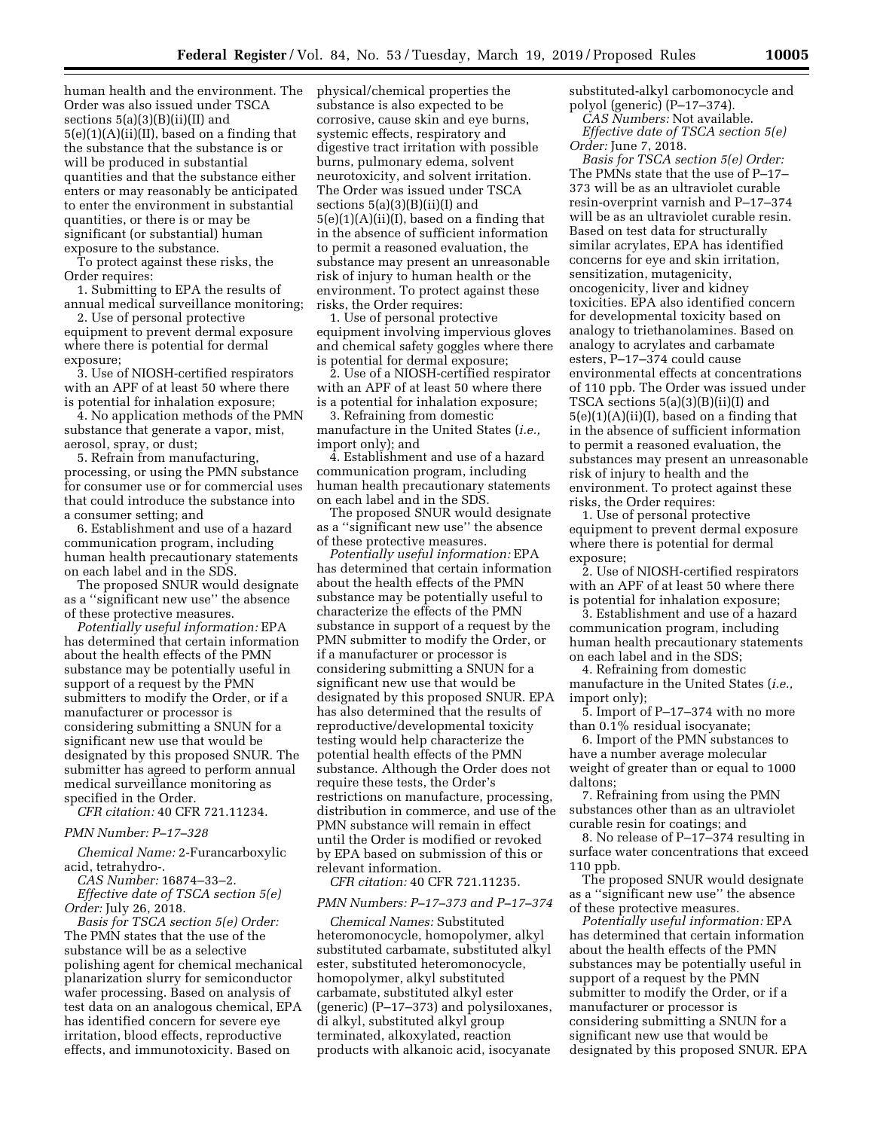human health and the environment. The Order was also issued under TSCA sections  $5(a)(3)(B)(ii)(II)$  and 5(e)(1)(A)(ii)(II), based on a finding that the substance that the substance is or will be produced in substantial quantities and that the substance either enters or may reasonably be anticipated to enter the environment in substantial quantities, or there is or may be significant (or substantial) human exposure to the substance.

To protect against these risks, the Order requires:

1. Submitting to EPA the results of annual medical surveillance monitoring;

2. Use of personal protective equipment to prevent dermal exposure where there is potential for dermal exposure;

3. Use of NIOSH-certified respirators with an APF of at least 50 where there is potential for inhalation exposure;

4. No application methods of the PMN substance that generate a vapor, mist, aerosol, spray, or dust;

5. Refrain from manufacturing, processing, or using the PMN substance for consumer use or for commercial uses that could introduce the substance into a consumer setting; and

6. Establishment and use of a hazard communication program, including human health precautionary statements on each label and in the SDS.

The proposed SNUR would designate as a ''significant new use'' the absence of these protective measures.

*Potentially useful information:* EPA has determined that certain information about the health effects of the PMN substance may be potentially useful in support of a request by the PMN submitters to modify the Order, or if a manufacturer or processor is considering submitting a SNUN for a significant new use that would be designated by this proposed SNUR. The submitter has agreed to perform annual medical surveillance monitoring as specified in the Order.

*CFR citation:* 40 CFR 721.11234.

# *PMN Number: P–17–328*

*Chemical Name:* 2-Furancarboxylic acid, tetrahydro-.

*CAS Number:* 16874–33–2.

*Effective date of TSCA section 5(e) Order:* July 26, 2018.

*Basis for TSCA section 5(e) Order:*  The PMN states that the use of the substance will be as a selective polishing agent for chemical mechanical planarization slurry for semiconductor wafer processing. Based on analysis of test data on an analogous chemical, EPA has identified concern for severe eye irritation, blood effects, reproductive effects, and immunotoxicity. Based on

physical/chemical properties the substance is also expected to be corrosive, cause skin and eye burns, systemic effects, respiratory and digestive tract irritation with possible burns, pulmonary edema, solvent neurotoxicity, and solvent irritation. The Order was issued under TSCA sections  $5(a)(3)(B)(ii)(I)$  and  $5(e)(1)(A)(ii)(I)$ , based on a finding that in the absence of sufficient information to permit a reasoned evaluation, the substance may present an unreasonable risk of injury to human health or the environment. To protect against these risks, the Order requires:

1. Use of personal protective equipment involving impervious gloves and chemical safety goggles where there is potential for dermal exposure;

2. Use of a NIOSH-certified respirator with an APF of at least 50 where there is a potential for inhalation exposure;

3. Refraining from domestic manufacture in the United States (*i.e.,*  import only); and

4. Establishment and use of a hazard communication program, including human health precautionary statements on each label and in the SDS.

The proposed SNUR would designate as a ''significant new use'' the absence of these protective measures.

*Potentially useful information:* EPA has determined that certain information about the health effects of the PMN substance may be potentially useful to characterize the effects of the PMN substance in support of a request by the PMN submitter to modify the Order, or if a manufacturer or processor is considering submitting a SNUN for a significant new use that would be designated by this proposed SNUR. EPA has also determined that the results of reproductive/developmental toxicity testing would help characterize the potential health effects of the PMN substance. Although the Order does not require these tests, the Order's restrictions on manufacture, processing, distribution in commerce, and use of the PMN substance will remain in effect until the Order is modified or revoked by EPA based on submission of this or relevant information.

*CFR citation:* 40 CFR 721.11235.

# *PMN Numbers: P–17–373 and P–17–374*

*Chemical Names:* Substituted heteromonocycle, homopolymer, alkyl substituted carbamate, substituted alkyl ester, substituted heteromonocycle, homopolymer, alkyl substituted carbamate, substituted alkyl ester (generic) (P–17–373) and polysiloxanes, di alkyl, substituted alkyl group terminated, alkoxylated, reaction products with alkanoic acid, isocyanate substituted-alkyl carbomonocycle and polyol (generic) (P–17–374).

*CAS Numbers:* Not available. *Effective date of TSCA section 5(e) Order:* June 7, 2018.

*Basis for TSCA section 5(e) Order:*  The PMNs state that the use of P–17– 373 will be as an ultraviolet curable resin-overprint varnish and P–17–374 will be as an ultraviolet curable resin. Based on test data for structurally similar acrylates, EPA has identified concerns for eye and skin irritation, sensitization, mutagenicity, oncogenicity, liver and kidney toxicities. EPA also identified concern for developmental toxicity based on analogy to triethanolamines. Based on analogy to acrylates and carbamate esters, P–17–374 could cause environmental effects at concentrations of 110 ppb. The Order was issued under TSCA sections 5(a)(3)(B)(ii)(I) and 5(e)(1)(A)(ii)(I), based on a finding that in the absence of sufficient information to permit a reasoned evaluation, the substances may present an unreasonable risk of injury to health and the environment. To protect against these risks, the Order requires:

1. Use of personal protective equipment to prevent dermal exposure where there is potential for dermal exposure;

2. Use of NIOSH-certified respirators with an APF of at least 50 where there is potential for inhalation exposure;

3. Establishment and use of a hazard communication program, including human health precautionary statements on each label and in the SDS;

4. Refraining from domestic manufacture in the United States (*i.e.,*  import only);

5. Import of P–17–374 with no more than 0.1% residual isocyanate;

6. Import of the PMN substances to have a number average molecular weight of greater than or equal to 1000 daltons;

7. Refraining from using the PMN substances other than as an ultraviolet curable resin for coatings; and

8. No release of P–17–374 resulting in surface water concentrations that exceed 110 ppb.

The proposed SNUR would designate as a ''significant new use'' the absence of these protective measures.

*Potentially useful information:* EPA has determined that certain information about the health effects of the PMN substances may be potentially useful in support of a request by the PMN submitter to modify the Order, or if a manufacturer or processor is considering submitting a SNUN for a significant new use that would be designated by this proposed SNUR. EPA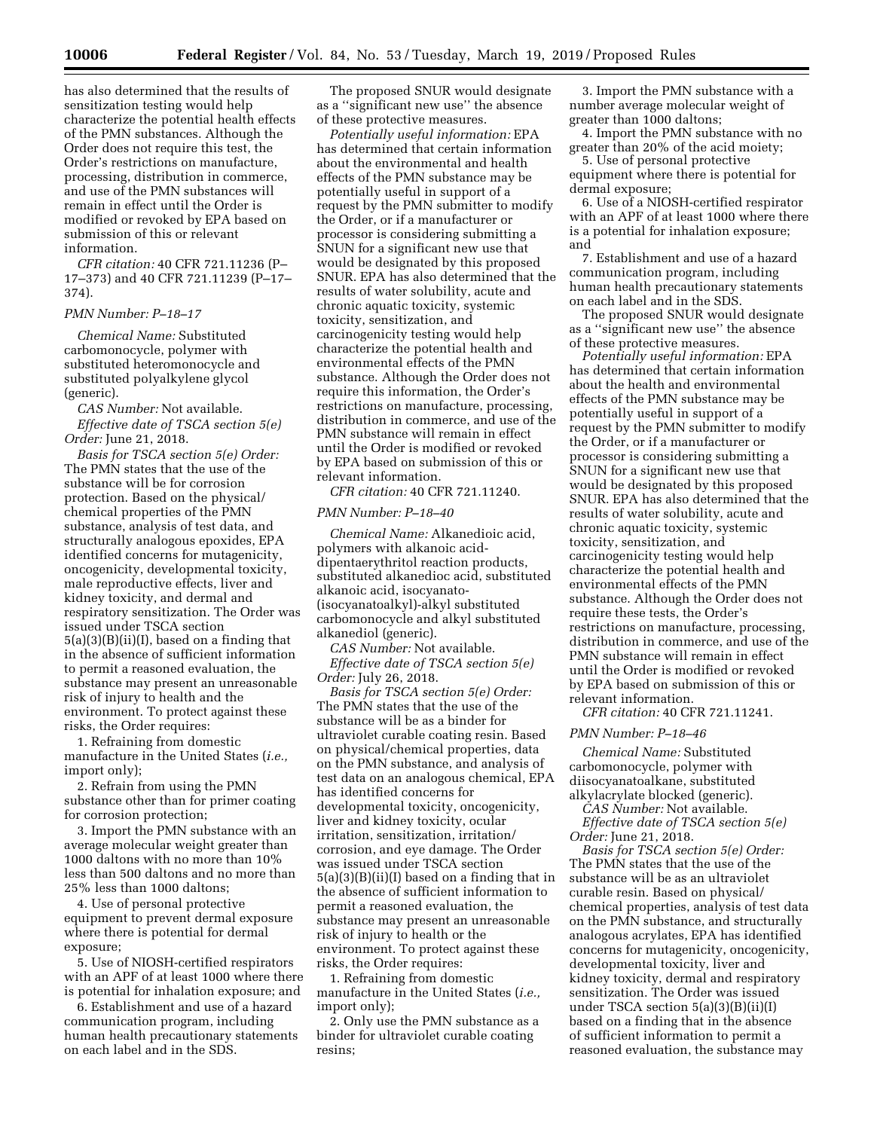has also determined that the results of sensitization testing would help characterize the potential health effects of the PMN substances. Although the Order does not require this test, the Order's restrictions on manufacture, processing, distribution in commerce, and use of the PMN substances will remain in effect until the Order is modified or revoked by EPA based on submission of this or relevant information.

*CFR citation:* 40 CFR 721.11236 (P– 17–373) and 40 CFR 721.11239 (P–17– 374).

#### *PMN Number: P–18–17*

*Chemical Name:* Substituted carbomonocycle, polymer with substituted heteromonocycle and substituted polyalkylene glycol (generic).

*CAS Number:* Not available. *Effective date of TSCA section 5(e) Order:* June 21, 2018.

*Basis for TSCA section 5(e) Order:*  The PMN states that the use of the substance will be for corrosion protection. Based on the physical/ chemical properties of the PMN substance, analysis of test data, and structurally analogous epoxides, EPA identified concerns for mutagenicity, oncogenicity, developmental toxicity, male reproductive effects, liver and kidney toxicity, and dermal and respiratory sensitization. The Order was issued under TSCA section  $5(a)(3)(B)(ii)(I)$ , based on a finding that in the absence of sufficient information to permit a reasoned evaluation, the substance may present an unreasonable risk of injury to health and the environment. To protect against these risks, the Order requires:

1. Refraining from domestic manufacture in the United States (*i.e.,*  import only);

2. Refrain from using the PMN substance other than for primer coating for corrosion protection;

3. Import the PMN substance with an average molecular weight greater than 1000 daltons with no more than 10% less than 500 daltons and no more than 25% less than 1000 daltons;

4. Use of personal protective equipment to prevent dermal exposure where there is potential for dermal exposure;

5. Use of NIOSH-certified respirators with an APF of at least 1000 where there is potential for inhalation exposure; and

6. Establishment and use of a hazard communication program, including human health precautionary statements on each label and in the SDS.

The proposed SNUR would designate as a ''significant new use'' the absence of these protective measures.

*Potentially useful information:* EPA has determined that certain information about the environmental and health effects of the PMN substance may be potentially useful in support of a request by the PMN submitter to modify the Order, or if a manufacturer or processor is considering submitting a SNUN for a significant new use that would be designated by this proposed SNUR. EPA has also determined that the results of water solubility, acute and chronic aquatic toxicity, systemic toxicity, sensitization, and carcinogenicity testing would help characterize the potential health and environmental effects of the PMN substance. Although the Order does not require this information, the Order's restrictions on manufacture, processing, distribution in commerce, and use of the PMN substance will remain in effect until the Order is modified or revoked by EPA based on submission of this or relevant information.

*CFR citation:* 40 CFR 721.11240.

#### *PMN Number: P–18–40*

*Chemical Name:* Alkanedioic acid, polymers with alkanoic aciddipentaerythritol reaction products, substituted alkanedioc acid, substituted alkanoic acid, isocyanato- (isocyanatoalkyl)-alkyl substituted carbomonocycle and alkyl substituted alkanediol (generic).

*CAS Number:* Not available. *Effective date of TSCA section 5(e) Order:* July 26, 2018.

*Basis for TSCA section 5(e) Order:*  The PMN states that the use of the substance will be as a binder for ultraviolet curable coating resin. Based on physical/chemical properties, data on the PMN substance, and analysis of test data on an analogous chemical, EPA has identified concerns for developmental toxicity, oncogenicity, liver and kidney toxicity, ocular irritation, sensitization, irritation/ corrosion, and eye damage. The Order was issued under TSCA section 5(a)(3)(B)(ii)(I) based on a finding that in the absence of sufficient information to permit a reasoned evaluation, the substance may present an unreasonable risk of injury to health or the environment. To protect against these risks, the Order requires:

1. Refraining from domestic manufacture in the United States (*i.e.,*  import only);

2. Only use the PMN substance as a binder for ultraviolet curable coating resins;

3. Import the PMN substance with a number average molecular weight of greater than 1000 daltons;

4. Import the PMN substance with no greater than 20% of the acid moiety;

5. Use of personal protective equipment where there is potential for dermal exposure;

6. Use of a NIOSH-certified respirator with an APF of at least 1000 where there is a potential for inhalation exposure; and

7. Establishment and use of a hazard communication program, including human health precautionary statements on each label and in the SDS.

The proposed SNUR would designate as a ''significant new use'' the absence of these protective measures.

*Potentially useful information:* EPA has determined that certain information about the health and environmental effects of the PMN substance may be potentially useful in support of a request by the PMN submitter to modify the Order, or if a manufacturer or processor is considering submitting a SNUN for a significant new use that would be designated by this proposed SNUR. EPA has also determined that the results of water solubility, acute and chronic aquatic toxicity, systemic toxicity, sensitization, and carcinogenicity testing would help characterize the potential health and environmental effects of the PMN substance. Although the Order does not require these tests, the Order's restrictions on manufacture, processing, distribution in commerce, and use of the PMN substance will remain in effect until the Order is modified or revoked by EPA based on submission of this or relevant information.

*CFR citation:* 40 CFR 721.11241.

#### *PMN Number: P–18–46*

*Chemical Name:* Substituted carbomonocycle, polymer with diisocyanatoalkane, substituted alkylacrylate blocked (generic).

*CAS Number:* Not available. *Effective date of TSCA section 5(e) Order:* June 21, 2018.

*Basis for TSCA section 5(e) Order:*  The PMN states that the use of the substance will be as an ultraviolet curable resin. Based on physical/ chemical properties, analysis of test data on the PMN substance, and structurally analogous acrylates, EPA has identified concerns for mutagenicity, oncogenicity, developmental toxicity, liver and kidney toxicity, dermal and respiratory sensitization. The Order was issued under TSCA section 5(a)(3)(B)(ii)(I) based on a finding that in the absence of sufficient information to permit a reasoned evaluation, the substance may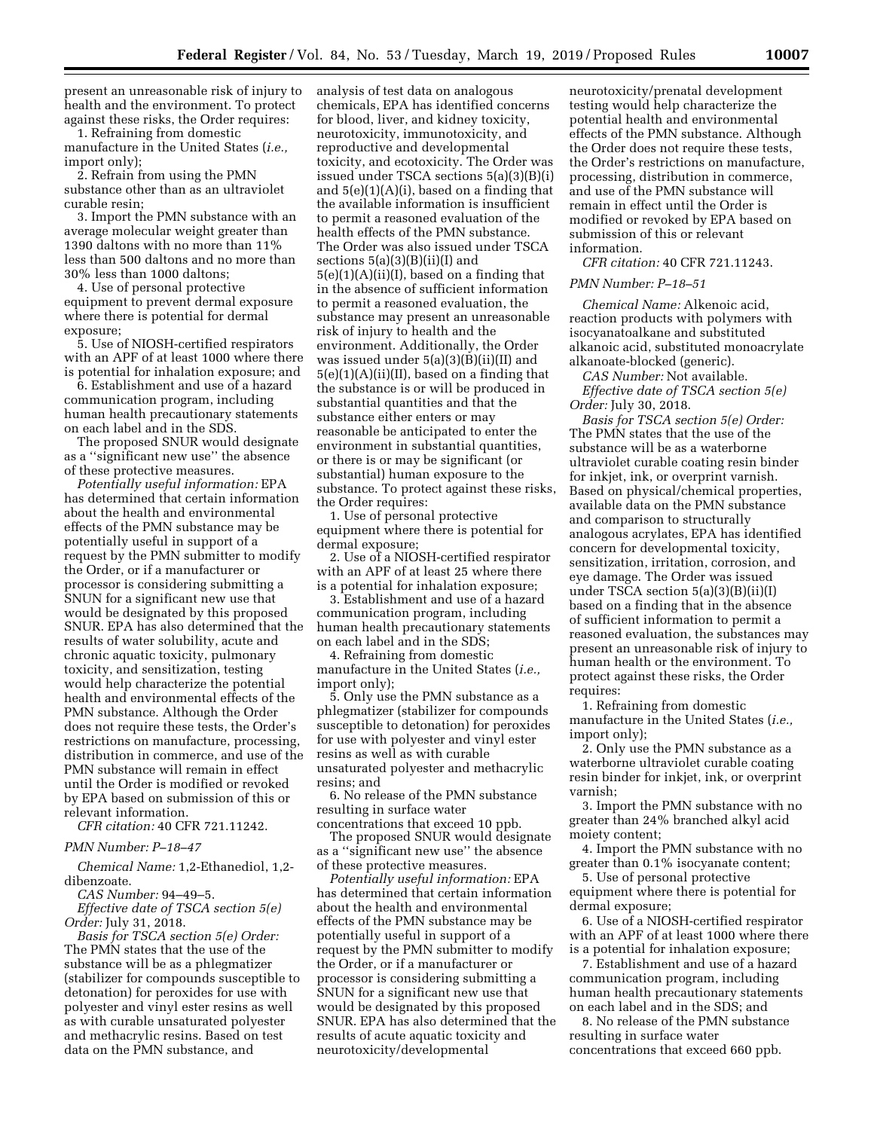present an unreasonable risk of injury to health and the environment. To protect against these risks, the Order requires:

1. Refraining from domestic manufacture in the United States (*i.e.,*  import only);

2. Refrain from using the PMN substance other than as an ultraviolet curable resin;

3. Import the PMN substance with an average molecular weight greater than 1390 daltons with no more than 11% less than 500 daltons and no more than 30% less than 1000 daltons;

4. Use of personal protective equipment to prevent dermal exposure where there is potential for dermal exposure;

5. Use of NIOSH-certified respirators with an APF of at least 1000 where there is potential for inhalation exposure; and

6. Establishment and use of a hazard communication program, including human health precautionary statements on each label and in the SDS.

The proposed SNUR would designate as a ''significant new use'' the absence of these protective measures.

*Potentially useful information:* EPA has determined that certain information about the health and environmental effects of the PMN substance may be potentially useful in support of a request by the PMN submitter to modify the Order, or if a manufacturer or processor is considering submitting a SNUN for a significant new use that would be designated by this proposed SNUR. EPA has also determined that the results of water solubility, acute and chronic aquatic toxicity, pulmonary toxicity, and sensitization, testing would help characterize the potential health and environmental effects of the PMN substance. Although the Order does not require these tests, the Order's restrictions on manufacture, processing, distribution in commerce, and use of the PMN substance will remain in effect until the Order is modified or revoked by EPA based on submission of this or relevant information.

*CFR citation:* 40 CFR 721.11242.

*PMN Number: P–18–47* 

*Chemical Name:* 1,2-Ethanediol, 1,2 dibenzoate.

*CAS Number:* 94–49–5.

*Effective date of TSCA section 5(e) Order:* July 31, 2018.

*Basis for TSCA section 5(e) Order:*  The PMN states that the use of the substance will be as a phlegmatizer (stabilizer for compounds susceptible to detonation) for peroxides for use with polyester and vinyl ester resins as well as with curable unsaturated polyester and methacrylic resins. Based on test data on the PMN substance, and

analysis of test data on analogous chemicals, EPA has identified concerns for blood, liver, and kidney toxicity, neurotoxicity, immunotoxicity, and reproductive and developmental toxicity, and ecotoxicity. The Order was issued under TSCA sections 5(a)(3)(B)(i) and 5(e)(1)(A)(i), based on a finding that the available information is insufficient to permit a reasoned evaluation of the health effects of the PMN substance. The Order was also issued under TSCA sections 5(a)(3)(B)(ii)(I) and  $5(e)(1)(A)(ii)(I)$ , based on a finding that in the absence of sufficient information to permit a reasoned evaluation, the substance may present an unreasonable risk of injury to health and the environment. Additionally, the Order was issued under 5(a)(3)(B)(ii)(II) and  $5(e)(1)(A)(ii)(II)$ , based on a finding that the substance is or will be produced in substantial quantities and that the substance either enters or may reasonable be anticipated to enter the environment in substantial quantities, or there is or may be significant (or substantial) human exposure to the substance. To protect against these risks, the Order requires:

1. Use of personal protective equipment where there is potential for dermal exposure;

2. Use of a NIOSH-certified respirator with an APF of at least 25 where there is a potential for inhalation exposure;

3. Establishment and use of a hazard communication program, including human health precautionary statements on each label and in the SDS;

4. Refraining from domestic manufacture in the United States (*i.e.,*  import only);

5. Only use the PMN substance as a phlegmatizer (stabilizer for compounds susceptible to detonation) for peroxides for use with polyester and vinyl ester resins as well as with curable unsaturated polyester and methacrylic resins; and

6. No release of the PMN substance resulting in surface water

concentrations that exceed 10 ppb. The proposed SNUR would designate as a ''significant new use'' the absence of these protective measures.

*Potentially useful information:* EPA has determined that certain information about the health and environmental effects of the PMN substance may be potentially useful in support of a request by the PMN submitter to modify the Order, or if a manufacturer or processor is considering submitting a SNUN for a significant new use that would be designated by this proposed SNUR. EPA has also determined that the results of acute aquatic toxicity and neurotoxicity/developmental

neurotoxicity/prenatal development testing would help characterize the potential health and environmental effects of the PMN substance. Although the Order does not require these tests, the Order's restrictions on manufacture, processing, distribution in commerce, and use of the PMN substance will remain in effect until the Order is modified or revoked by EPA based on submission of this or relevant information.

*CFR citation:* 40 CFR 721.11243.

## *PMN Number: P–18–51*

*Chemical Name:* Alkenoic acid, reaction products with polymers with isocyanatoalkane and substituted alkanoic acid, substituted monoacrylate alkanoate-blocked (generic).

*CAS Number:* Not available.

*Effective date of TSCA section 5(e) Order:* July 30, 2018.

*Basis for TSCA section 5(e) Order:*  The PMN states that the use of the substance will be as a waterborne ultraviolet curable coating resin binder for inkjet, ink, or overprint varnish. Based on physical/chemical properties, available data on the PMN substance and comparison to structurally analogous acrylates, EPA has identified concern for developmental toxicity, sensitization, irritation, corrosion, and eye damage. The Order was issued under TSCA section 5(a)(3)(B)(ii)(I) based on a finding that in the absence of sufficient information to permit a reasoned evaluation, the substances may present an unreasonable risk of injury to human health or the environment. To protect against these risks, the Order requires:

1. Refraining from domestic manufacture in the United States (*i.e.,*  import only);

2. Only use the PMN substance as a waterborne ultraviolet curable coating resin binder for inkjet, ink, or overprint varnish;

3. Import the PMN substance with no greater than 24% branched alkyl acid moiety content;

4. Import the PMN substance with no greater than 0.1% isocyanate content;

5. Use of personal protective equipment where there is potential for dermal exposure;

6. Use of a NIOSH-certified respirator with an APF of at least 1000 where there is a potential for inhalation exposure;

7. Establishment and use of a hazard communication program, including human health precautionary statements on each label and in the SDS; and

8. No release of the PMN substance resulting in surface water concentrations that exceed 660 ppb.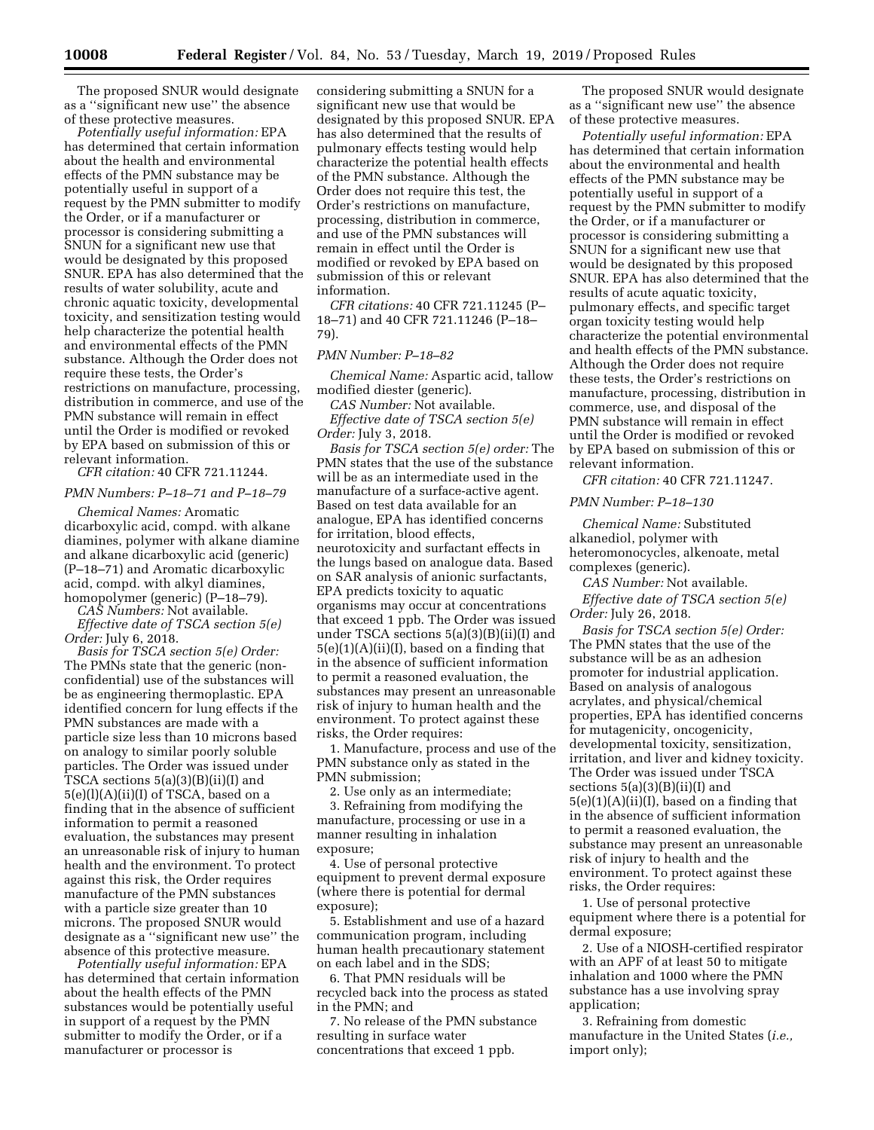The proposed SNUR would designate as a ''significant new use'' the absence of these protective measures.

*Potentially useful information:* EPA has determined that certain information about the health and environmental effects of the PMN substance may be potentially useful in support of a request by the PMN submitter to modify the Order, or if a manufacturer or processor is considering submitting a SNUN for a significant new use that would be designated by this proposed SNUR. EPA has also determined that the results of water solubility, acute and chronic aquatic toxicity, developmental toxicity, and sensitization testing would help characterize the potential health and environmental effects of the PMN substance. Although the Order does not require these tests, the Order's restrictions on manufacture, processing, distribution in commerce, and use of the PMN substance will remain in effect until the Order is modified or revoked by EPA based on submission of this or relevant information.

*CFR citation:* 40 CFR 721.11244.

# *PMN Numbers: P–18–71 and P–18–79*

*Chemical Names:* Aromatic dicarboxylic acid, compd. with alkane diamines, polymer with alkane diamine and alkane dicarboxylic acid (generic) (P–18–71) and Aromatic dicarboxylic acid, compd. with alkyl diamines, homopolymer (generic) (P–18–79).

*CAS Numbers:* Not available. *Effective date of TSCA section 5(e) Order:* July 6, 2018.

*Basis for TSCA section 5(e) Order:*  The PMNs state that the generic (nonconfidential) use of the substances will be as engineering thermoplastic. EPA identified concern for lung effects if the PMN substances are made with a particle size less than 10 microns based on analogy to similar poorly soluble particles. The Order was issued under TSCA sections 5(a)(3)(B)(ii)(I) and 5(e)(l)(A)(ii)(I) of TSCA, based on a finding that in the absence of sufficient information to permit a reasoned evaluation, the substances may present an unreasonable risk of injury to human health and the environment. To protect against this risk, the Order requires manufacture of the PMN substances with a particle size greater than 10 microns. The proposed SNUR would designate as a ''significant new use'' the absence of this protective measure.

*Potentially useful information:* EPA has determined that certain information about the health effects of the PMN substances would be potentially useful in support of a request by the PMN submitter to modify the Order, or if a manufacturer or processor is

considering submitting a SNUN for a significant new use that would be designated by this proposed SNUR. EPA has also determined that the results of pulmonary effects testing would help characterize the potential health effects of the PMN substance. Although the Order does not require this test, the Order's restrictions on manufacture, processing, distribution in commerce, and use of the PMN substances will remain in effect until the Order is modified or revoked by EPA based on submission of this or relevant information.

*CFR citations:* 40 CFR 721.11245 (P– 18–71) and 40 CFR 721.11246 (P–18– 79).

# *PMN Number: P–18–82*

*Chemical Name:* Aspartic acid, tallow modified diester (generic).

*CAS Number:* Not available. *Effective date of TSCA section 5(e) Order:* July 3, 2018.

*Basis for TSCA section 5(e) order:* The PMN states that the use of the substance will be as an intermediate used in the manufacture of a surface-active agent. Based on test data available for an analogue, EPA has identified concerns for irritation, blood effects, neurotoxicity and surfactant effects in the lungs based on analogue data. Based on SAR analysis of anionic surfactants, EPA predicts toxicity to aquatic organisms may occur at concentrations that exceed 1 ppb. The Order was issued under TSCA sections 5(a)(3)(B)(ii)(I) and  $5(e)(1)(A)(ii)(I)$ , based on a finding that in the absence of sufficient information to permit a reasoned evaluation, the substances may present an unreasonable risk of injury to human health and the environment. To protect against these risks, the Order requires:

1. Manufacture, process and use of the PMN substance only as stated in the PMN submission;

2. Use only as an intermediate;

3. Refraining from modifying the manufacture, processing or use in a manner resulting in inhalation exposure;

4. Use of personal protective equipment to prevent dermal exposure (where there is potential for dermal exposure);

5. Establishment and use of a hazard communication program, including human health precautionary statement on each label and in the SDS;

6. That PMN residuals will be recycled back into the process as stated in the PMN; and

7. No release of the PMN substance resulting in surface water concentrations that exceed 1 ppb.

The proposed SNUR would designate as a ''significant new use'' the absence of these protective measures.

*Potentially useful information:* EPA has determined that certain information about the environmental and health effects of the PMN substance may be potentially useful in support of a request by the PMN submitter to modify the Order, or if a manufacturer or processor is considering submitting a SNUN for a significant new use that would be designated by this proposed SNUR. EPA has also determined that the results of acute aquatic toxicity, pulmonary effects, and specific target organ toxicity testing would help characterize the potential environmental and health effects of the PMN substance. Although the Order does not require these tests, the Order's restrictions on manufacture, processing, distribution in commerce, use, and disposal of the PMN substance will remain in effect until the Order is modified or revoked by EPA based on submission of this or relevant information.

*CFR citation:* 40 CFR 721.11247.

# *PMN Number: P–18–130*

*Chemical Name:* Substituted alkanediol, polymer with heteromonocycles, alkenoate, metal complexes (generic).

*CAS Number:* Not available.

*Effective date of TSCA section 5(e) Order:* July 26, 2018.

*Basis for TSCA section 5(e) Order:*  The PMN states that the use of the substance will be as an adhesion promoter for industrial application. Based on analysis of analogous acrylates, and physical/chemical properties, EPA has identified concerns for mutagenicity, oncogenicity, developmental toxicity, sensitization, irritation, and liver and kidney toxicity. The Order was issued under TSCA sections 5(a)(3)(B)(ii)(I) and  $5(e)(1)(A)(ii)(I)$ , based on a finding that in the absence of sufficient information to permit a reasoned evaluation, the substance may present an unreasonable risk of injury to health and the environment. To protect against these risks, the Order requires:

1. Use of personal protective equipment where there is a potential for dermal exposure;

2. Use of a NIOSH-certified respirator with an APF of at least 50 to mitigate inhalation and 1000 where the PMN substance has a use involving spray application;

3. Refraining from domestic manufacture in the United States (*i.e.,*  import only);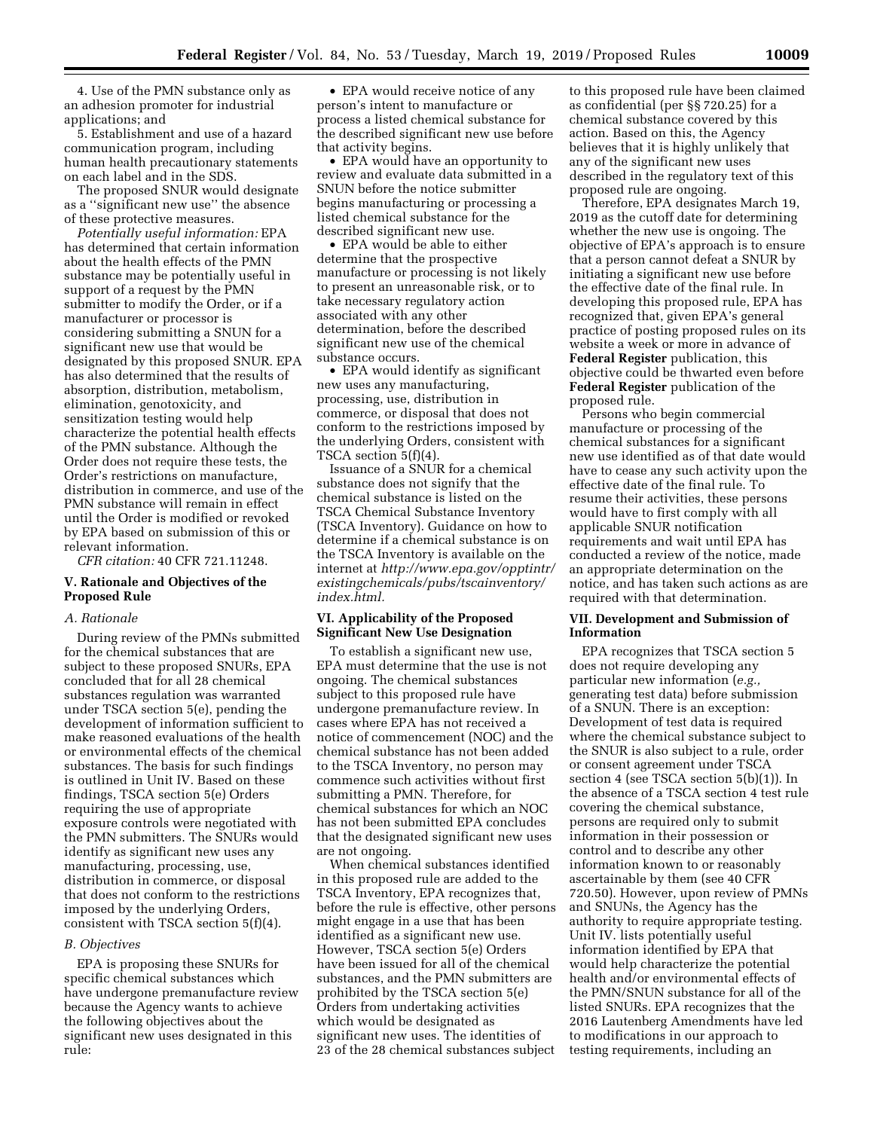4. Use of the PMN substance only as an adhesion promoter for industrial applications; and

5. Establishment and use of a hazard communication program, including human health precautionary statements on each label and in the SDS.

The proposed SNUR would designate as a ''significant new use'' the absence of these protective measures.

*Potentially useful information:* EPA has determined that certain information about the health effects of the PMN substance may be potentially useful in support of a request by the PMN submitter to modify the Order, or if a manufacturer or processor is considering submitting a SNUN for a significant new use that would be designated by this proposed SNUR. EPA has also determined that the results of absorption, distribution, metabolism, elimination, genotoxicity, and sensitization testing would help characterize the potential health effects of the PMN substance. Although the Order does not require these tests, the Order's restrictions on manufacture, distribution in commerce, and use of the PMN substance will remain in effect until the Order is modified or revoked by EPA based on submission of this or relevant information.

*CFR citation:* 40 CFR 721.11248.

# **V. Rationale and Objectives of the Proposed Rule**

#### *A. Rationale*

During review of the PMNs submitted for the chemical substances that are subject to these proposed SNURs, EPA concluded that for all 28 chemical substances regulation was warranted under TSCA section 5(e), pending the development of information sufficient to make reasoned evaluations of the health or environmental effects of the chemical substances. The basis for such findings is outlined in Unit IV. Based on these findings, TSCA section 5(e) Orders requiring the use of appropriate exposure controls were negotiated with the PMN submitters. The SNURs would identify as significant new uses any manufacturing, processing, use, distribution in commerce, or disposal that does not conform to the restrictions imposed by the underlying Orders, consistent with TSCA section 5(f)(4).

#### *B. Objectives*

EPA is proposing these SNURs for specific chemical substances which have undergone premanufacture review because the Agency wants to achieve the following objectives about the significant new uses designated in this rule:

• EPA would receive notice of any person's intent to manufacture or process a listed chemical substance for the described significant new use before that activity begins.

• EPA would have an opportunity to review and evaluate data submitted in a SNUN before the notice submitter begins manufacturing or processing a listed chemical substance for the described significant new use.

• EPA would be able to either determine that the prospective manufacture or processing is not likely to present an unreasonable risk, or to take necessary regulatory action associated with any other determination, before the described significant new use of the chemical substance occurs.

• EPA would identify as significant new uses any manufacturing, processing, use, distribution in commerce, or disposal that does not conform to the restrictions imposed by the underlying Orders, consistent with TSCA section 5(f)(4).

Issuance of a SNUR for a chemical substance does not signify that the chemical substance is listed on the TSCA Chemical Substance Inventory (TSCA Inventory). Guidance on how to determine if a chemical substance is on the TSCA Inventory is available on the internet at *[http://www.epa.gov/opptintr/](http://www.epa.gov/opptintr/existingchemicals/pubs/tscainventory/index.html)  [existingchemicals/pubs/tscainventory/](http://www.epa.gov/opptintr/existingchemicals/pubs/tscainventory/index.html) [index.html.](http://www.epa.gov/opptintr/existingchemicals/pubs/tscainventory/index.html)* 

# **VI. Applicability of the Proposed Significant New Use Designation**

To establish a significant new use, EPA must determine that the use is not ongoing. The chemical substances subject to this proposed rule have undergone premanufacture review. In cases where EPA has not received a notice of commencement (NOC) and the chemical substance has not been added to the TSCA Inventory, no person may commence such activities without first submitting a PMN. Therefore, for chemical substances for which an NOC has not been submitted EPA concludes that the designated significant new uses are not ongoing.

When chemical substances identified in this proposed rule are added to the TSCA Inventory, EPA recognizes that, before the rule is effective, other persons might engage in a use that has been identified as a significant new use. However, TSCA section 5(e) Orders have been issued for all of the chemical substances, and the PMN submitters are prohibited by the TSCA section 5(e) Orders from undertaking activities which would be designated as significant new uses. The identities of 23 of the 28 chemical substances subject

to this proposed rule have been claimed as confidential (per §§ 720.25) for a chemical substance covered by this action. Based on this, the Agency believes that it is highly unlikely that any of the significant new uses described in the regulatory text of this proposed rule are ongoing.

Therefore, EPA designates March 19, 2019 as the cutoff date for determining whether the new use is ongoing. The objective of EPA's approach is to ensure that a person cannot defeat a SNUR by initiating a significant new use before the effective date of the final rule. In developing this proposed rule, EPA has recognized that, given EPA's general practice of posting proposed rules on its website a week or more in advance of **Federal Register** publication, this objective could be thwarted even before **Federal Register** publication of the proposed rule.

Persons who begin commercial manufacture or processing of the chemical substances for a significant new use identified as of that date would have to cease any such activity upon the effective date of the final rule. To resume their activities, these persons would have to first comply with all applicable SNUR notification requirements and wait until EPA has conducted a review of the notice, made an appropriate determination on the notice, and has taken such actions as are required with that determination.

# **VII. Development and Submission of Information**

EPA recognizes that TSCA section 5 does not require developing any particular new information (*e.g.,*  generating test data) before submission of a SNUN. There is an exception: Development of test data is required where the chemical substance subject to the SNUR is also subject to a rule, order or consent agreement under TSCA section 4 (see TSCA section 5(b)(1)). In the absence of a TSCA section 4 test rule covering the chemical substance, persons are required only to submit information in their possession or control and to describe any other information known to or reasonably ascertainable by them (see 40 CFR 720.50). However, upon review of PMNs and SNUNs, the Agency has the authority to require appropriate testing. Unit IV. lists potentially useful information identified by EPA that would help characterize the potential health and/or environmental effects of the PMN/SNUN substance for all of the listed SNURs. EPA recognizes that the 2016 Lautenberg Amendments have led to modifications in our approach to testing requirements, including an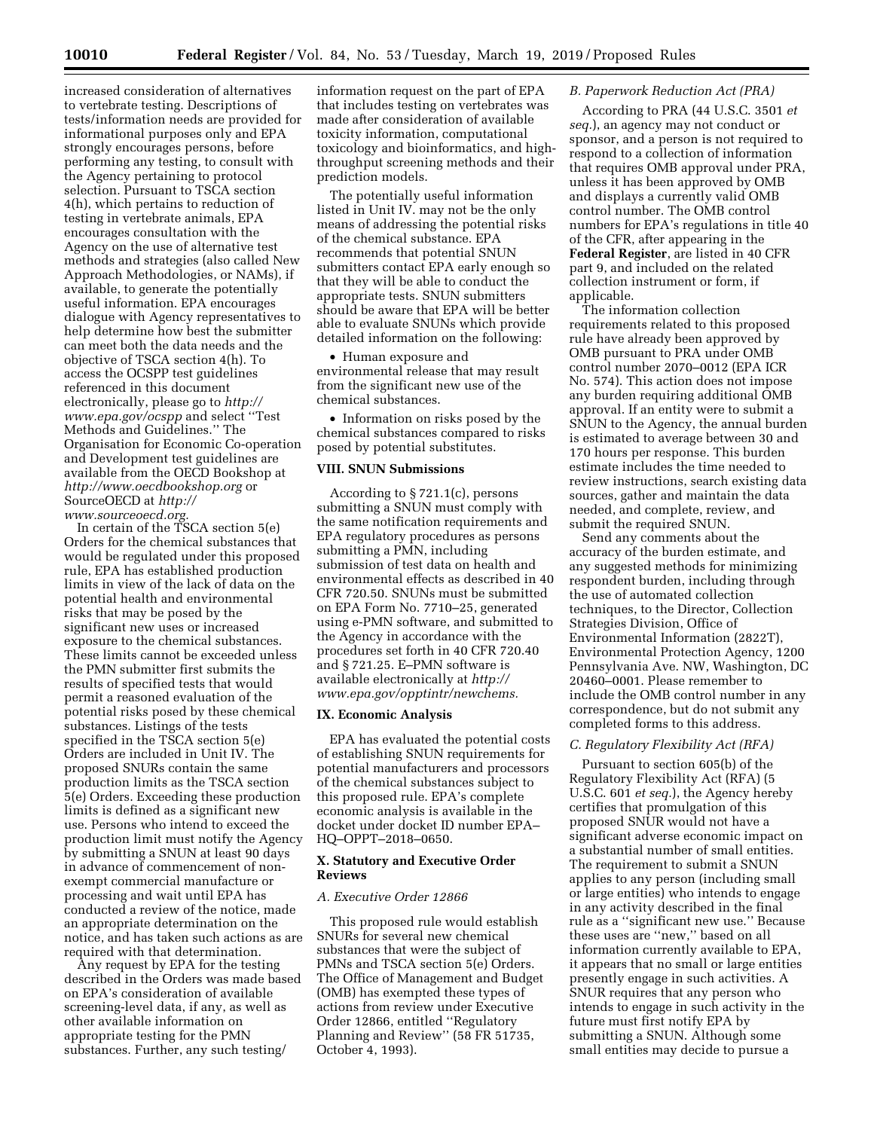increased consideration of alternatives to vertebrate testing. Descriptions of tests/information needs are provided for informational purposes only and EPA strongly encourages persons, before performing any testing, to consult with the Agency pertaining to protocol selection. Pursuant to TSCA section 4(h), which pertains to reduction of testing in vertebrate animals, EPA encourages consultation with the Agency on the use of alternative test methods and strategies (also called New Approach Methodologies, or NAMs), if available, to generate the potentially useful information. EPA encourages dialogue with Agency representatives to help determine how best the submitter can meet both the data needs and the objective of TSCA section 4(h). To access the OCSPP test guidelines referenced in this document electronically, please go to *[http://](http://www.epa.gov/ocspp) [www.epa.gov/ocspp](http://www.epa.gov/ocspp)* and select ''Test Methods and Guidelines.'' The Organisation for Economic Co-operation and Development test guidelines are available from the OECD Bookshop at *<http://www.oecdbookshop.org>*or SourceOECD at *[http://](http://www.sourceoecd.org) [www.sourceoecd.org.](http://www.sourceoecd.org)* 

In certain of the TSCA section 5(e) Orders for the chemical substances that would be regulated under this proposed rule, EPA has established production limits in view of the lack of data on the potential health and environmental risks that may be posed by the significant new uses or increased exposure to the chemical substances. These limits cannot be exceeded unless the PMN submitter first submits the results of specified tests that would permit a reasoned evaluation of the potential risks posed by these chemical substances. Listings of the tests specified in the TSCA section 5(e) Orders are included in Unit IV. The proposed SNURs contain the same production limits as the TSCA section 5(e) Orders. Exceeding these production limits is defined as a significant new use. Persons who intend to exceed the production limit must notify the Agency by submitting a SNUN at least 90 days in advance of commencement of nonexempt commercial manufacture or processing and wait until EPA has conducted a review of the notice, made an appropriate determination on the notice, and has taken such actions as are required with that determination.

Any request by EPA for the testing described in the Orders was made based on EPA's consideration of available screening-level data, if any, as well as other available information on appropriate testing for the PMN substances. Further, any such testing/

information request on the part of EPA that includes testing on vertebrates was made after consideration of available toxicity information, computational toxicology and bioinformatics, and highthroughput screening methods and their prediction models.

The potentially useful information listed in Unit IV. may not be the only means of addressing the potential risks of the chemical substance. EPA recommends that potential SNUN submitters contact EPA early enough so that they will be able to conduct the appropriate tests. SNUN submitters should be aware that EPA will be better able to evaluate SNUNs which provide detailed information on the following:

• Human exposure and environmental release that may result from the significant new use of the chemical substances.

• Information on risks posed by the chemical substances compared to risks posed by potential substitutes.

# **VIII. SNUN Submissions**

According to § 721.1(c), persons submitting a SNUN must comply with the same notification requirements and EPA regulatory procedures as persons submitting a PMN, including submission of test data on health and environmental effects as described in 40 CFR 720.50. SNUNs must be submitted on EPA Form No. 7710–25, generated using e-PMN software, and submitted to the Agency in accordance with the procedures set forth in 40 CFR 720.40 and § 721.25. E–PMN software is available electronically at *[http://](http://www.epa.gov/opptintr/newchems) [www.epa.gov/opptintr/newchems.](http://www.epa.gov/opptintr/newchems)* 

## **IX. Economic Analysis**

EPA has evaluated the potential costs of establishing SNUN requirements for potential manufacturers and processors of the chemical substances subject to this proposed rule. EPA's complete economic analysis is available in the docket under docket ID number EPA– HQ–OPPT–2018–0650.

# **X. Statutory and Executive Order Reviews**

# *A. Executive Order 12866*

This proposed rule would establish SNURs for several new chemical substances that were the subject of PMNs and TSCA section 5(e) Orders. The Office of Management and Budget (OMB) has exempted these types of actions from review under Executive Order 12866, entitled ''Regulatory Planning and Review'' (58 FR 51735, October 4, 1993).

# *B. Paperwork Reduction Act (PRA)*

According to PRA (44 U.S.C. 3501 *et seq.*), an agency may not conduct or sponsor, and a person is not required to respond to a collection of information that requires OMB approval under PRA, unless it has been approved by OMB and displays a currently valid OMB control number. The OMB control numbers for EPA's regulations in title 40 of the CFR, after appearing in the **Federal Register**, are listed in 40 CFR part 9, and included on the related collection instrument or form, if applicable.

The information collection requirements related to this proposed rule have already been approved by OMB pursuant to PRA under OMB control number 2070–0012 (EPA ICR No. 574). This action does not impose any burden requiring additional OMB approval. If an entity were to submit a SNUN to the Agency, the annual burden is estimated to average between 30 and 170 hours per response. This burden estimate includes the time needed to review instructions, search existing data sources, gather and maintain the data needed, and complete, review, and submit the required SNUN.

Send any comments about the accuracy of the burden estimate, and any suggested methods for minimizing respondent burden, including through the use of automated collection techniques, to the Director, Collection Strategies Division, Office of Environmental Information (2822T), Environmental Protection Agency, 1200 Pennsylvania Ave. NW, Washington, DC 20460–0001. Please remember to include the OMB control number in any correspondence, but do not submit any completed forms to this address.

# *C. Regulatory Flexibility Act (RFA)*

Pursuant to section 605(b) of the Regulatory Flexibility Act (RFA) (5 U.S.C. 601 *et seq.*), the Agency hereby certifies that promulgation of this proposed SNUR would not have a significant adverse economic impact on a substantial number of small entities. The requirement to submit a SNUN applies to any person (including small or large entities) who intends to engage in any activity described in the final rule as a ''significant new use.'' Because these uses are ''new,'' based on all information currently available to EPA, it appears that no small or large entities presently engage in such activities. A SNUR requires that any person who intends to engage in such activity in the future must first notify EPA by submitting a SNUN. Although some small entities may decide to pursue a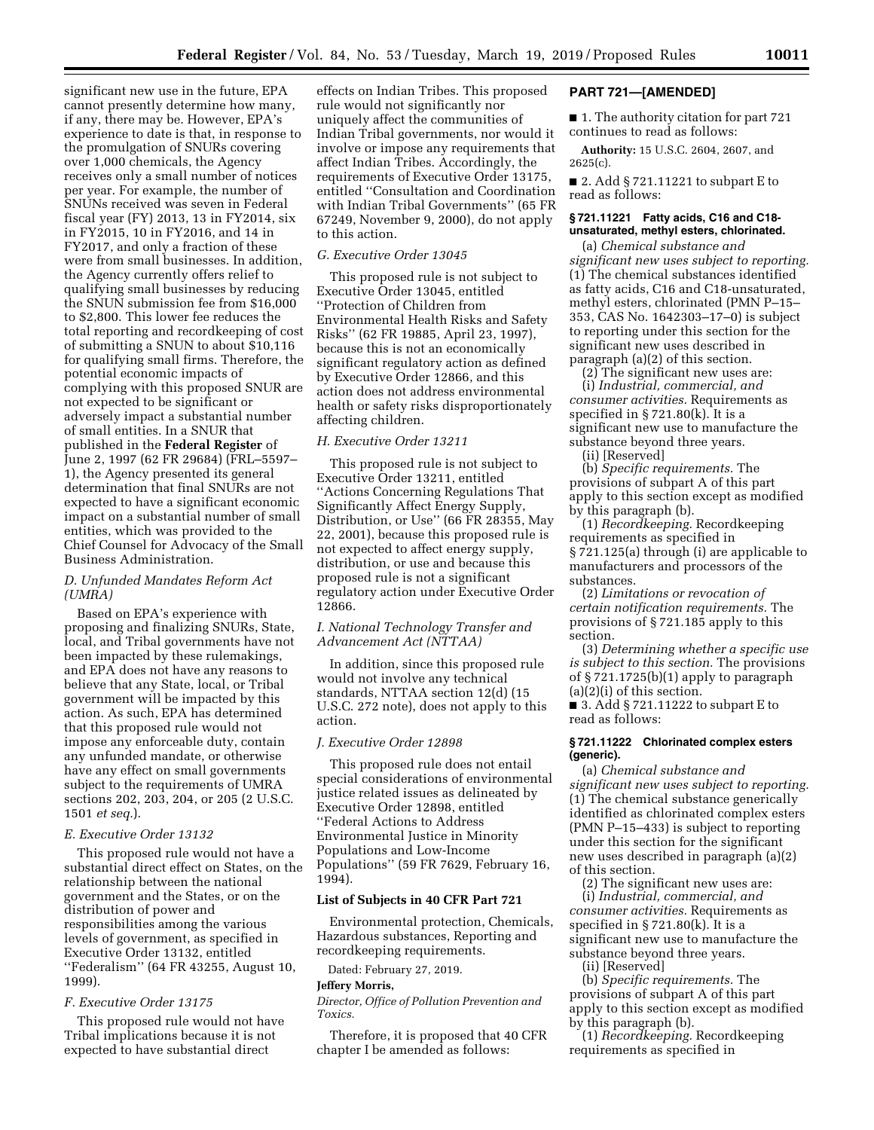significant new use in the future, EPA cannot presently determine how many, if any, there may be. However, EPA's experience to date is that, in response to the promulgation of SNURs covering over 1,000 chemicals, the Agency receives only a small number of notices per year. For example, the number of SNUNs received was seven in Federal fiscal year (FY) 2013, 13 in FY2014, six in FY2015, 10 in FY2016, and 14 in FY2017, and only a fraction of these were from small businesses. In addition, the Agency currently offers relief to qualifying small businesses by reducing the SNUN submission fee from \$16,000 to \$2,800. This lower fee reduces the total reporting and recordkeeping of cost of submitting a SNUN to about \$10,116 for qualifying small firms. Therefore, the potential economic impacts of complying with this proposed SNUR are not expected to be significant or adversely impact a substantial number of small entities. In a SNUR that published in the **Federal Register** of June 2, 1997 (62 FR 29684) (FRL–5597– 1), the Agency presented its general determination that final SNURs are not expected to have a significant economic impact on a substantial number of small entities, which was provided to the Chief Counsel for Advocacy of the Small Business Administration.

# *D. Unfunded Mandates Reform Act (UMRA)*

Based on EPA's experience with proposing and finalizing SNURs, State, local, and Tribal governments have not been impacted by these rulemakings, and EPA does not have any reasons to believe that any State, local, or Tribal government will be impacted by this action. As such, EPA has determined that this proposed rule would not impose any enforceable duty, contain any unfunded mandate, or otherwise have any effect on small governments subject to the requirements of UMRA sections 202, 203, 204, or 205 (2 U.S.C. 1501 *et seq.*).

## *E. Executive Order 13132*

This proposed rule would not have a substantial direct effect on States, on the relationship between the national government and the States, or on the distribution of power and responsibilities among the various levels of government, as specified in Executive Order 13132, entitled ''Federalism'' (64 FR 43255, August 10, 1999).

# *F. Executive Order 13175*

This proposed rule would not have Tribal implications because it is not expected to have substantial direct

effects on Indian Tribes. This proposed rule would not significantly nor uniquely affect the communities of Indian Tribal governments, nor would it involve or impose any requirements that affect Indian Tribes. Accordingly, the requirements of Executive Order 13175, entitled ''Consultation and Coordination with Indian Tribal Governments'' (65 FR 67249, November 9, 2000), do not apply to this action.

# *G. Executive Order 13045*

This proposed rule is not subject to Executive Order 13045, entitled ''Protection of Children from Environmental Health Risks and Safety Risks'' (62 FR 19885, April 23, 1997), because this is not an economically significant regulatory action as defined by Executive Order 12866, and this action does not address environmental health or safety risks disproportionately affecting children.

## *H. Executive Order 13211*

This proposed rule is not subject to Executive Order 13211, entitled ''Actions Concerning Regulations That Significantly Affect Energy Supply, Distribution, or Use'' (66 FR 28355, May 22, 2001), because this proposed rule is not expected to affect energy supply, distribution, or use and because this proposed rule is not a significant regulatory action under Executive Order 12866.

# *I. National Technology Transfer and Advancement Act (NTTAA)*

In addition, since this proposed rule would not involve any technical standards, NTTAA section 12(d) (15 U.S.C. 272 note), does not apply to this action.

# *J. Executive Order 12898*

This proposed rule does not entail special considerations of environmental justice related issues as delineated by Executive Order 12898, entitled ''Federal Actions to Address Environmental Justice in Minority Populations and Low-Income Populations'' (59 FR 7629, February 16, 1994).

### **List of Subjects in 40 CFR Part 721**

Environmental protection, Chemicals, Hazardous substances, Reporting and recordkeeping requirements.

Dated: February 27, 2019.

# **Jeffery Morris,**

*Director, Office of Pollution Prevention and Toxics.* 

Therefore, it is proposed that 40 CFR chapter I be amended as follows:

#### **PART 721—[AMENDED]**

■ 1. The authority citation for part 721 continues to read as follows:

**Authority:** 15 U.S.C. 2604, 2607, and 2625(c).

■ 2. Add § 721.11221 to subpart E to read as follows:

## **§ 721.11221 Fatty acids, C16 and C18 unsaturated, methyl esters, chlorinated.**

(a) *Chemical substance and significant new uses subject to reporting.*  (1) The chemical substances identified as fatty acids, C16 and C18-unsaturated, methyl esters, chlorinated (PMN P–15– 353, CAS No. 1642303–17–0) is subject to reporting under this section for the significant new uses described in paragraph (a)(2) of this section.

 $(2)$  The significant new uses are: (i) *Industrial, commercial, and consumer activities.* Requirements as specified in  $\S 721.80(k)$ . It is a significant new use to manufacture the substance beyond three years.

(ii) [Reserved]

(b) *Specific requirements.* The provisions of subpart A of this part apply to this section except as modified by this paragraph (b).

(1) *Recordkeeping.* Recordkeeping requirements as specified in § 721.125(a) through (i) are applicable to manufacturers and processors of the substances.

(2) *Limitations or revocation of certain notification requirements.* The provisions of § 721.185 apply to this section.

(3) *Determining whether a specific use is subject to this section.* The provisions of § 721.1725(b)(1) apply to paragraph (a)(2)(i) of this section.

■ 3. Add § 721.11222 to subpart E to read as follows:

## **§ 721.11222 Chlorinated complex esters (generic).**

(a) *Chemical substance and significant new uses subject to reporting.*  (1) The chemical substance generically identified as chlorinated complex esters (PMN P–15–433) is subject to reporting under this section for the significant new uses described in paragraph (a)(2) of this section.

(2) The significant new uses are: (i) *Industrial, commercial, and consumer activities.* Requirements as specified in § 721.80(k). It is a significant new use to manufacture the substance beyond three years.

(ii) [Reserved]

(b) *Specific requirements.* The provisions of subpart A of this part apply to this section except as modified by this paragraph (b).

(1) *Recordkeeping.* Recordkeeping requirements as specified in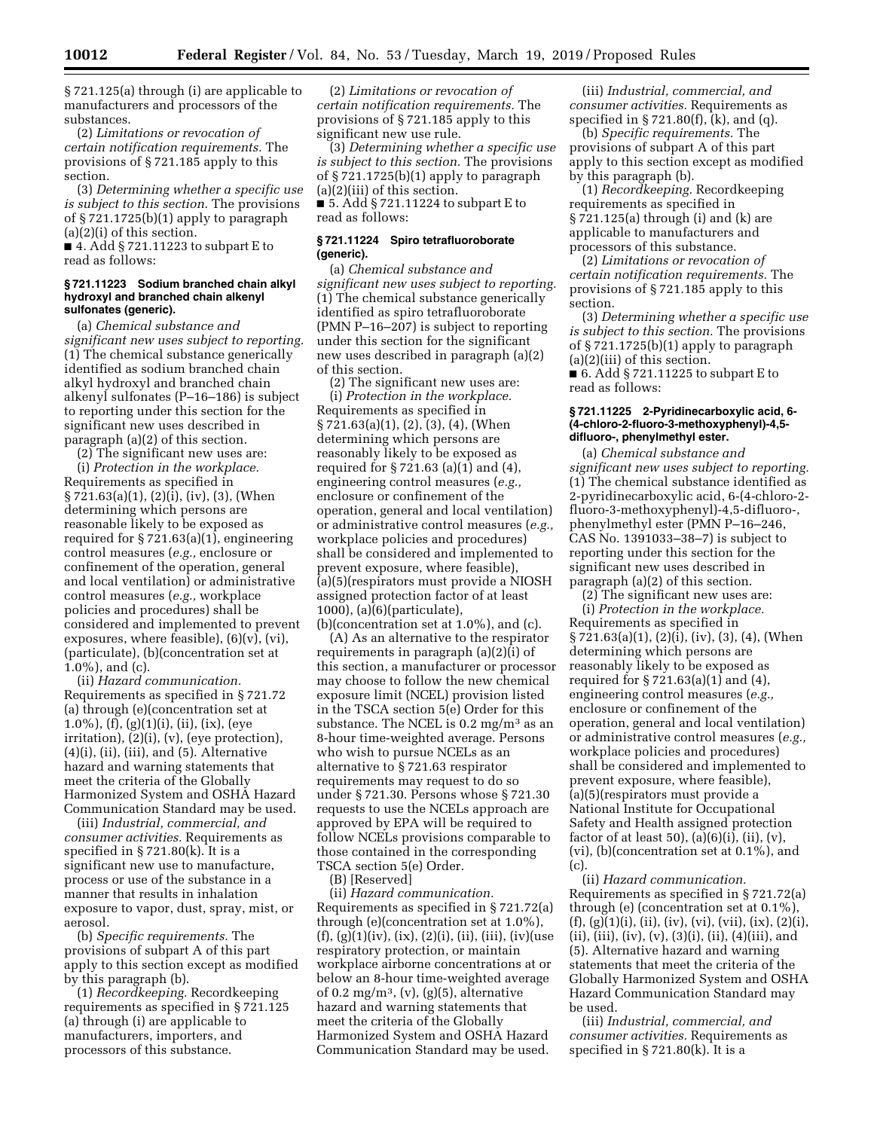§ 721.125(a) through (i) are applicable to manufacturers and processors of the substances.

(2) *Limitations or revocation of certain notification requirements.* The provisions of § 721.185 apply to this section.

(3) *Determining whether a specific use is subject to this section.* The provisions of § 721.1725(b)(1) apply to paragraph (a)(2)(i) of this section.

■ 4. Add § 721.11223 to subpart E to read as follows:

## **§ 721.11223 Sodium branched chain alkyl hydroxyl and branched chain alkenyl sulfonates (generic).**

(a) *Chemical substance and significant new uses subject to reporting.*  (1) The chemical substance generically identified as sodium branched chain alkyl hydroxyl and branched chain alkenyl sulfonates (P–16–186) is subject to reporting under this section for the significant new uses described in paragraph (a)(2) of this section.

(2) The significant new uses are:

(i) *Protection in the workplace.*  Requirements as specified in § 721.63(a)(1), (2)(i), (iv), (3), (When determining which persons are reasonable likely to be exposed as required for § 721.63(a)(1), engineering control measures (*e.g.,* enclosure or confinement of the operation, general and local ventilation) or administrative control measures (*e.g.,* workplace policies and procedures) shall be considered and implemented to prevent exposures, where feasible),  $(6)(v)$ ,  $(vi)$ , (particulate), (b)(concentration set at 1.0%), and (c).

(ii) *Hazard communication.*  Requirements as specified in § 721.72 (a) through (e)(concentration set at 1.0%), (f), (g)(1)(i), (ii), (ix), (eye irritation), (2)(i), (v), (eye protection),  $(4)(i)$ ,  $(ii)$ ,  $(iii)$ , and  $(5)$ . Alternative hazard and warning statements that meet the criteria of the Globally Harmonized System and OSHA Hazard Communication Standard may be used.

(iii) *Industrial, commercial, and consumer activities.* Requirements as specified in  $\S 721.80(k)$ . It is a significant new use to manufacture, process or use of the substance in a manner that results in inhalation exposure to vapor, dust, spray, mist, or aerosol.

(b) *Specific requirements.* The provisions of subpart A of this part apply to this section except as modified by this paragraph (b).

(1) *Recordkeeping.* Recordkeeping requirements as specified in § 721.125 (a) through (i) are applicable to manufacturers, importers, and processors of this substance.

(2) *Limitations or revocation of certain notification requirements.* The provisions of § 721.185 apply to this significant new use rule.

(3) *Determining whether a specific use is subject to this section.* The provisions of § 721.1725(b)(1) apply to paragraph (a)(2)(iii) of this section. ■ 5. Add § 721.11224 to subpart E to read as follows:

# **§ 721.11224 Spiro tetrafluoroborate (generic).**

(a) *Chemical substance and significant new uses subject to reporting.*  (1) The chemical substance generically identified as spiro tetrafluoroborate (PMN P–16–207) is subject to reporting under this section for the significant new uses described in paragraph (a)(2) of this section.

(2) The significant new uses are: (i) *Protection in the workplace.*  Requirements as specified in § 721.63(a)(1), (2), (3), (4), (When determining which persons are reasonably likely to be exposed as required for § 721.63 (a)(1) and (4), engineering control measures (*e.g.,*  enclosure or confinement of the operation, general and local ventilation) or administrative control measures (*e.g.,*  workplace policies and procedures) shall be considered and implemented to prevent exposure, where feasible), (a)(5)(respirators must provide a NIOSH assigned protection factor of at least 1000), (a)(6)(particulate), (b)(concentration set at 1.0%), and (c).

(A) As an alternative to the respirator requirements in paragraph (a)(2)(i) of this section, a manufacturer or processor may choose to follow the new chemical exposure limit (NCEL) provision listed in the TSCA section 5(e) Order for this substance. The NCEL is  $0.2 \text{ mg/m}^3$  as an 8-hour time-weighted average. Persons who wish to pursue NCELs as an alternative to § 721.63 respirator requirements may request to do so under § 721.30. Persons whose § 721.30 requests to use the NCELs approach are approved by EPA will be required to follow NCELs provisions comparable to those contained in the corresponding TSCA section 5(e) Order.

(B) [Reserved]

(ii) *Hazard communication.*  Requirements as specified in § 721.72(a) through (e)(concentration set at 1.0%),  $(f), (g)(1)(iv), (ix), (2)(i), (ii), (iii), (iv)(use)$ respiratory protection, or maintain workplace airborne concentrations at or below an 8-hour time-weighted average of 0.2 mg/m<sup>3</sup>, (v), (g)(5), alternative hazard and warning statements that meet the criteria of the Globally Harmonized System and OSHA Hazard Communication Standard may be used.

(iii) *Industrial, commercial, and consumer activities.* Requirements as specified in § 721.80(f), (k), and (q).

(b) *Specific requirements.* The provisions of subpart A of this part apply to this section except as modified by this paragraph (b).

(1) *Recordkeeping.* Recordkeeping requirements as specified in § 721.125(a) through (i) and (k) are applicable to manufacturers and processors of this substance.

(2) *Limitations or revocation of certain notification requirements.* The provisions of § 721.185 apply to this section.

(3) *Determining whether a specific use is subject to this section.* The provisions of § 721.1725(b)(1) apply to paragraph (a)(2)(iii) of this section.

■ 6. Add § 721.11225 to subpart E to read as follows:

## **§ 721.11225 2-Pyridinecarboxylic acid, 6- (4-chloro-2-fluoro-3-methoxyphenyl)-4,5 difluoro-, phenylmethyl ester.**

(a) *Chemical substance and significant new uses subject to reporting.*  (1) The chemical substance identified as 2-pyridinecarboxylic acid, 6-(4-chloro-2 fluoro-3-methoxyphenyl)-4,5-difluoro-, phenylmethyl ester (PMN P–16–246, CAS No. 1391033–38–7) is subject to reporting under this section for the significant new uses described in paragraph (a)(2) of this section.

 $(2)$  The significant new uses are:

(i) *Protection in the workplace.*  Requirements as specified in  $\S 7\overline{2}1.63(a)(1), (2)(i), (iv), (3), (4), (When$ determining which persons are reasonably likely to be exposed as required for § 721.63(a)(1) and (4), engineering control measures (*e.g.,*  enclosure or confinement of the operation, general and local ventilation) or administrative control measures (*e.g.,*  workplace policies and procedures) shall be considered and implemented to prevent exposure, where feasible), (a)(5)(respirators must provide a National Institute for Occupational Safety and Health assigned protection factor of at least 50), (a)(6)(i), (ii), (v), (vi), (b)(concentration set at 0.1%), and (c).

(ii) *Hazard communication.*  Requirements as specified in § 721.72(a) through (e) (concentration set at 0.1%),  $(f), (g)(1)(i), (ii), (iv), (vi), (vii), (ix), (2)(i),$  $(ii), (iii), (iv), (v), (3)(i), (ii), (4)(iii), and$ (5). Alternative hazard and warning statements that meet the criteria of the Globally Harmonized System and OSHA Hazard Communication Standard may be used.

(iii) *Industrial, commercial, and consumer activities.* Requirements as specified in § 721.80(k). It is a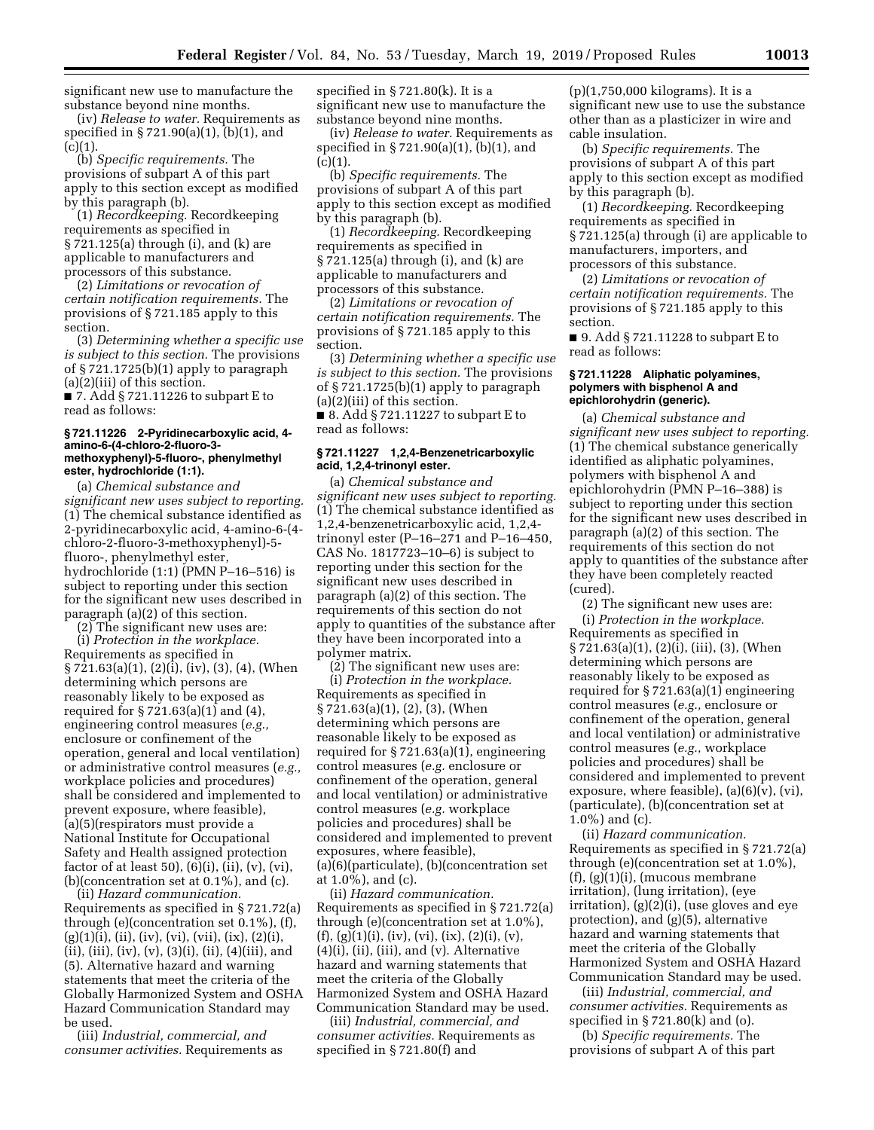significant new use to manufacture the substance beyond nine months.

(iv) *Release to water.* Requirements as specified in § 721.90(a)(1), (b)(1), and  $(c)(1)$ .

(b) *Specific requirements.* The provisions of subpart A of this part apply to this section except as modified by this paragraph (b).

(1) *Recordkeeping.* Recordkeeping requirements as specified in § 721.125(a) through (i), and (k) are applicable to manufacturers and processors of this substance.

(2) *Limitations or revocation of certain notification requirements.* The provisions of § 721.185 apply to this section.

(3) *Determining whether a specific use is subject to this section.* The provisions of § 721.1725(b)(1) apply to paragraph (a)(2)(iii) of this section.

■ 7. Add § 721.11226 to subpart E to read as follows:

#### **§ 721.11226 2-Pyridinecarboxylic acid, 4 amino-6-(4-chloro-2-fluoro-3 methoxyphenyl)-5-fluoro-, phenylmethyl ester, hydrochloride (1:1).**

(a) *Chemical substance and significant new uses subject to reporting.*  (1) The chemical substance identified as 2-pyridinecarboxylic acid, 4-amino-6-(4 chloro-2-fluoro-3-methoxyphenyl)-5 fluoro-, phenylmethyl ester, hydrochloride (1:1) (PMN P–16–516) is subject to reporting under this section for the significant new uses described in paragraph (a)(2) of this section.

(2) The significant new uses are: (i) *Protection in the workplace.*  Requirements as specified in § 721.63(a)(1), (2)(i), (iv), (3), (4), (When determining which persons are reasonably likely to be exposed as required for § 721.63(a)(1) and (4), engineering control measures (*e.g.,*  enclosure or confinement of the operation, general and local ventilation) or administrative control measures (*e.g.,*  workplace policies and procedures) shall be considered and implemented to prevent exposure, where feasible), (a)(5)(respirators must provide a National Institute for Occupational Safety and Health assigned protection factor of at least 50),  $(6)(i)$ ,  $(ii)$ ,  $(v)$ ,  $(vi)$ , (b)(concentration set at 0.1%), and (c).

(ii) *Hazard communication.*  Requirements as specified in § 721.72(a) through (e)(concentration set 0.1%), (f),  $(g)(1)(i)$ , (ii), (iv), (vi), (vii), (ix), (2)(i),  $(ii), (iii), (iv), (v), (3)(i), (ii), (4)(iii), and$ (5). Alternative hazard and warning statements that meet the criteria of the Globally Harmonized System and OSHA Hazard Communication Standard may be used.

(iii) *Industrial, commercial, and consumer activities.* Requirements as

specified in § 721.80(k). It is a significant new use to manufacture the substance beyond nine months.

(iv) *Release to water.* Requirements as specified in § 721.90(a)(1), (b)(1), and  $(c)(1)$ .

(b) *Specific requirements.* The provisions of subpart A of this part apply to this section except as modified by this paragraph (b).

(1) *Recordkeeping.* Recordkeeping requirements as specified in § 721.125(a) through (i), and (k) are applicable to manufacturers and processors of this substance.

(2) *Limitations or revocation of certain notification requirements.* The provisions of § 721.185 apply to this section.

(3) *Determining whether a specific use is subject to this section.* The provisions of  $\S 721.1725(b)(1)$  apply to paragraph (a)(2)(iii) of this section.

■ 8. Add § 721.11227 to subpart E to read as follows:

# **§ 721.11227 1,2,4-Benzenetricarboxylic acid, 1,2,4-trinonyl ester.**

(a) *Chemical substance and significant new uses subject to reporting.*  (1) The chemical substance identified as 1,2,4-benzenetricarboxylic acid, 1,2,4 trinonyl ester (P–16–271 and P–16–450, CAS No. 1817723–10–6) is subject to reporting under this section for the significant new uses described in paragraph (a)(2) of this section. The requirements of this section do not apply to quantities of the substance after they have been incorporated into a polymer matrix.

(2) The significant new uses are: (i) *Protection in the workplace.*  Requirements as specified in § 721.63(a)(1), (2), (3), (When determining which persons are reasonable likely to be exposed as required for § 721.63(a)(1), engineering control measures (*e.g.* enclosure or confinement of the operation, general and local ventilation) or administrative control measures (*e.g.* workplace policies and procedures) shall be considered and implemented to prevent exposures, where feasible), (a)(6)(particulate), (b)(concentration set at 1.0%), and (c).

(ii) *Hazard communication.*  Requirements as specified in § 721.72(a) through (e)(concentration set at 1.0%),  $(f), (g)(1)(i), (iv), (vi), (ix), (2)(i), (v),$ (4)(i), (ii), (iii), and (v). Alternative hazard and warning statements that meet the criteria of the Globally Harmonized System and OSHA Hazard Communication Standard may be used.

(iii) *Industrial, commercial, and consumer activities.* Requirements as specified in § 721.80(f) and

(p)(1,750,000 kilograms). It is a significant new use to use the substance other than as a plasticizer in wire and cable insulation.

(b) *Specific requirements.* The provisions of subpart A of this part apply to this section except as modified by this paragraph (b).

(1) *Recordkeeping.* Recordkeeping requirements as specified in § 721.125(a) through (i) are applicable to manufacturers, importers, and processors of this substance.

(2) *Limitations or revocation of certain notification requirements.* The provisions of § 721.185 apply to this section.

■ 9. Add § 721.11228 to subpart E to read as follows:

# **§ 721.11228 Aliphatic polyamines, polymers with bisphenol A and epichlorohydrin (generic).**

(a) *Chemical substance and significant new uses subject to reporting.*  (1) The chemical substance generically identified as aliphatic polyamines, polymers with bisphenol A and epichlorohydrin (PMN P–16–388) is subject to reporting under this section for the significant new uses described in paragraph (a)(2) of this section. The requirements of this section do not apply to quantities of the substance after they have been completely reacted (cured).

(2) The significant new uses are: (i) *Protection in the workplace.*  Requirements as specified in § 721.63(a)(1), (2)(i), (iii), (3), (When determining which persons are reasonably likely to be exposed as required for § 721.63(a)(1) engineering control measures (*e.g.,* enclosure or confinement of the operation, general and local ventilation) or administrative control measures (*e.g.,* workplace policies and procedures) shall be considered and implemented to prevent exposure, where feasible),  $(a)(6)(v)$ ,  $(vi)$ , (particulate), (b)(concentration set at 1.0%) and (c).

(ii) *Hazard communication.*  Requirements as specified in § 721.72(a) through (e)(concentration set at 1.0%), (f), (g)(1)(i), (mucous membrane irritation), (lung irritation), (eye irritation), (g)(2)(i), (use gloves and eye protection), and (g)(5), alternative hazard and warning statements that meet the criteria of the Globally Harmonized System and OSHA Hazard Communication Standard may be used.

(iii) *Industrial, commercial, and consumer activities.* Requirements as specified in  $\S 721.80(k)$  and (o).

(b) *Specific requirements.* The provisions of subpart A of this part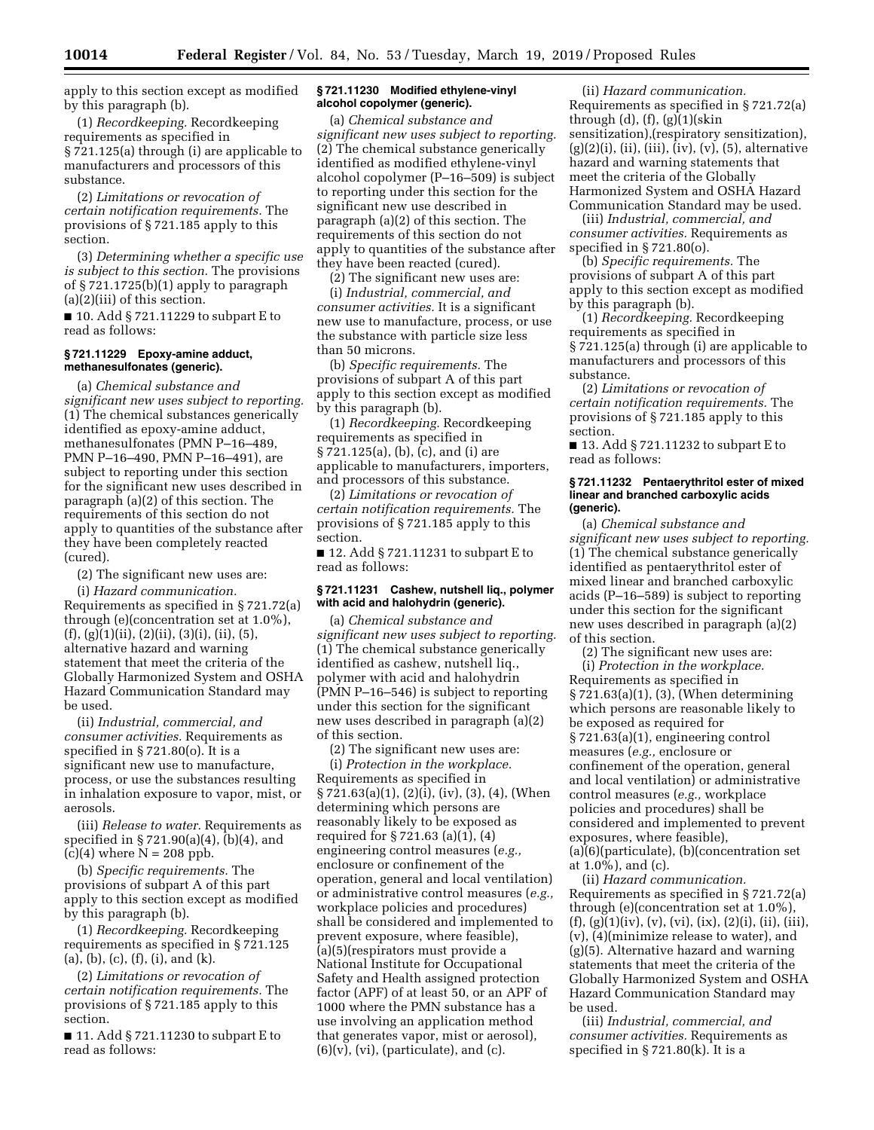apply to this section except as modified by this paragraph (b).

(1) *Recordkeeping.* Recordkeeping requirements as specified in § 721.125(a) through (i) are applicable to manufacturers and processors of this substance.

(2) *Limitations or revocation of certain notification requirements.* The provisions of § 721.185 apply to this section.

(3) *Determining whether a specific use is subject to this section.* The provisions of § 721.1725(b)(1) apply to paragraph (a)(2)(iii) of this section.

■ 10. Add § 721.11229 to subpart E to read as follows:

# **§ 721.11229 Epoxy-amine adduct, methanesulfonates (generic).**

(a) *Chemical substance and significant new uses subject to reporting.*  (1) The chemical substances generically identified as epoxy-amine adduct, methanesulfonates (PMN P–16–489, PMN P–16–490, PMN P–16–491), are subject to reporting under this section for the significant new uses described in paragraph (a)(2) of this section. The requirements of this section do not apply to quantities of the substance after they have been completely reacted (cured).

(2) The significant new uses are:

(i) *Hazard communication.*  Requirements as specified in § 721.72(a) through (e)(concentration set at 1.0%),  $(f), (g)(1)(ii), (2)(ii), (3)(i), (ii), (5),$ alternative hazard and warning statement that meet the criteria of the Globally Harmonized System and OSHA Hazard Communication Standard may be used.

(ii) *Industrial, commercial, and consumer activities.* Requirements as specified in § 721.80(o). It is a significant new use to manufacture, process, or use the substances resulting in inhalation exposure to vapor, mist, or aerosols.

(iii) *Release to water.* Requirements as specified in § 721.90(a)(4), (b)(4), and  $(c)(4)$  where  $N = 208$  ppb.

(b) *Specific requirements.* The provisions of subpart A of this part apply to this section except as modified by this paragraph (b).

(1) *Recordkeeping.* Recordkeeping requirements as specified in § 721.125 (a), (b), (c), (f), (i), and (k).

(2) *Limitations or revocation of certain notification requirements.* The provisions of § 721.185 apply to this section.

■ 11. Add § 721.11230 to subpart E to read as follows:

# **§ 721.11230 Modified ethylene-vinyl alcohol copolymer (generic).**

(a) *Chemical substance and significant new uses subject to reporting.*  (2) The chemical substance generically identified as modified ethylene-vinyl alcohol copolymer (P–16–509) is subject to reporting under this section for the significant new use described in paragraph (a)(2) of this section. The requirements of this section do not apply to quantities of the substance after they have been reacted (cured).

(2) The significant new uses are: (i) *Industrial, commercial, and consumer activities.* It is a significant new use to manufacture, process, or use the substance with particle size less than 50 microns.

(b) *Specific requirements.* The provisions of subpart A of this part apply to this section except as modified by this paragraph (b).

(1) *Recordkeeping.* Recordkeeping requirements as specified in § 721.125(a), (b), (c), and (i) are applicable to manufacturers, importers, and processors of this substance.

(2) *Limitations or revocation of certain notification requirements.* The provisions of § 721.185 apply to this section.

■ 12. Add § 721.11231 to subpart E to read as follows:

#### **§ 721.11231 Cashew, nutshell liq., polymer with acid and halohydrin (generic).**

(a) *Chemical substance and significant new uses subject to reporting.*  (1) The chemical substance generically identified as cashew, nutshell liq., polymer with acid and halohydrin (PMN P–16–546) is subject to reporting under this section for the significant new uses described in paragraph (a)(2) of this section.

(2) The significant new uses are: (i) *Protection in the workplace.*  Requirements as specified in § 721.63(a)(1), (2)(i), (iv), (3), (4), (When determining which persons are reasonably likely to be exposed as required for § 721.63 (a)(1), (4) engineering control measures (*e.g.,*  enclosure or confinement of the operation, general and local ventilation) or administrative control measures (*e.g.,*  workplace policies and procedures) shall be considered and implemented to prevent exposure, where feasible), (a)(5)(respirators must provide a National Institute for Occupational Safety and Health assigned protection factor (APF) of at least 50, or an APF of 1000 where the PMN substance has a use involving an application method that generates vapor, mist or aerosol),  $(6)(v)$ ,  $(vi)$ , (particulate), and  $(c)$ .

(ii) *Hazard communication.*  Requirements as specified in § 721.72(a) through  $(d)$ ,  $(f)$ ,  $(g)(1)(skin)$ sensitization),(respiratory sensitization),  $(g)(2)(i)$ ,  $(ii)$ ,  $(iii)$ ,  $(iv)$ ,  $(v)$ ,  $(5)$ , alternative hazard and warning statements that meet the criteria of the Globally Harmonized System and OSHA Hazard Communication Standard may be used.

(iii) *Industrial, commercial, and consumer activities.* Requirements as specified in § 721.80(o).

(b) *Specific requirements.* The provisions of subpart A of this part apply to this section except as modified by this paragraph (b).

(1) *Recordkeeping.* Recordkeeping requirements as specified in § 721.125(a) through (i) are applicable to manufacturers and processors of this substance.

(2) *Limitations or revocation of certain notification requirements.* The provisions of § 721.185 apply to this section.

■ 13. Add § 721.11232 to subpart E to read as follows:

#### **§ 721.11232 Pentaerythritol ester of mixed linear and branched carboxylic acids (generic).**

(a) *Chemical substance and significant new uses subject to reporting.*  (1) The chemical substance generically identified as pentaerythritol ester of mixed linear and branched carboxylic acids (P–16–589) is subject to reporting under this section for the significant new uses described in paragraph (a)(2) of this section.

(2) The significant new uses are: (i) *Protection in the workplace.*  Requirements as specified in § 721.63(a)(1), (3), (When determining which persons are reasonable likely to be exposed as required for § 721.63(a)(1), engineering control measures (*e.g.,* enclosure or confinement of the operation, general and local ventilation) or administrative control measures (*e.g.,* workplace policies and procedures) shall be considered and implemented to prevent exposures, where feasible), (a)(6)(particulate), (b)(concentration set at 1.0%), and (c).

(ii) *Hazard communication.*  Requirements as specified in § 721.72(a) through (e)(concentration set at 1.0%),  $(f, (g)(1)(iv), (v), (vi), (ix), (2)(i), (ii), (iii),$ (v), (4)(minimize release to water), and (g)(5). Alternative hazard and warning statements that meet the criteria of the Globally Harmonized System and OSHA Hazard Communication Standard may be used.

(iii) *Industrial, commercial, and consumer activities.* Requirements as specified in § 721.80(k). It is a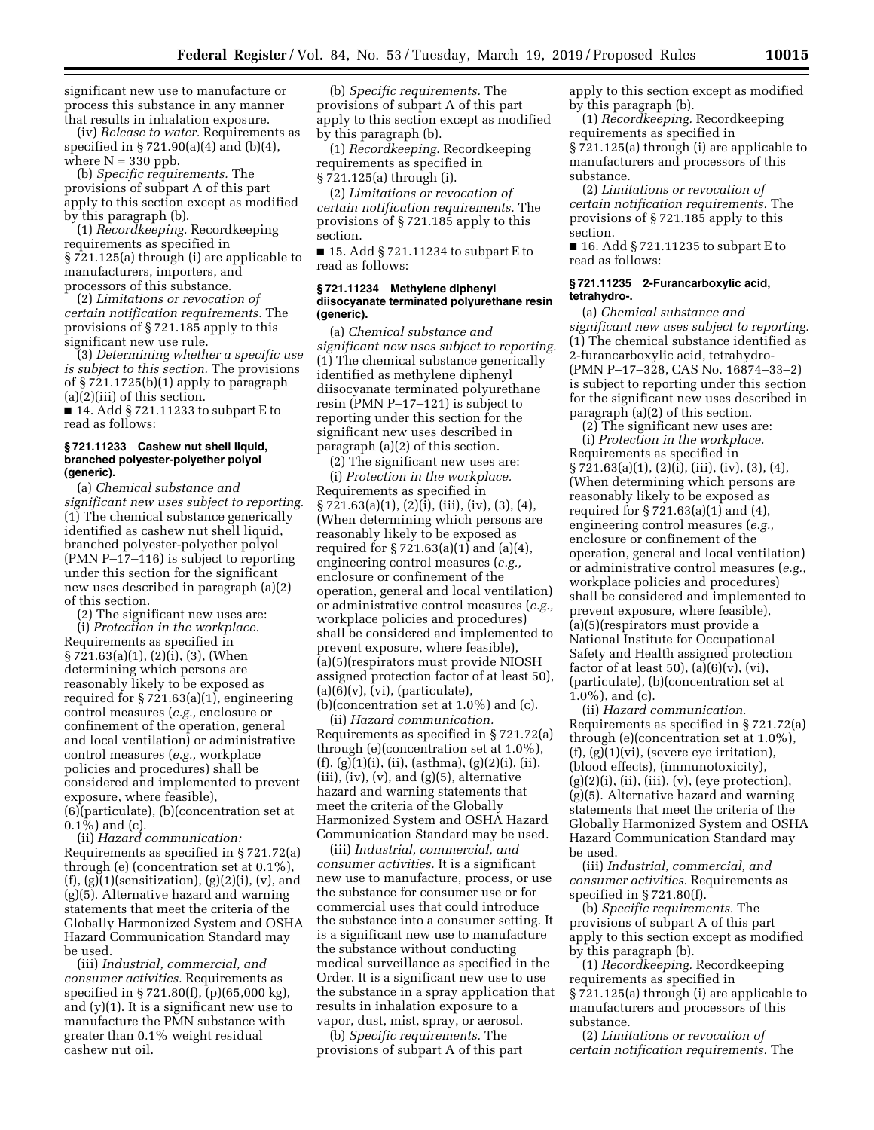significant new use to manufacture or process this substance in any manner that results in inhalation exposure.

(iv) *Release to water.* Requirements as specified in § 721.90(a)(4) and (b)(4), where  $N = 330$  ppb.

(b) *Specific requirements.* The provisions of subpart A of this part apply to this section except as modified by this paragraph (b).

(1) *Recordkeeping.* Recordkeeping requirements as specified in § 721.125(a) through (i) are applicable to manufacturers, importers, and processors of this substance.

(2) *Limitations or revocation of certain notification requirements.* The provisions of § 721.185 apply to this significant new use rule.

(3) *Determining whether a specific use is subject to this section.* The provisions of § 721.1725(b)(1) apply to paragraph (a)(2)(iii) of this section.

■ 14. Add § 721.11233 to subpart E to read as follows:

#### **§ 721.11233 Cashew nut shell liquid, branched polyester-polyether polyol (generic).**

(a) *Chemical substance and significant new uses subject to reporting.*  (1) The chemical substance generically identified as cashew nut shell liquid, branched polyester-polyether polyol (PMN P–17–116) is subject to reporting under this section for the significant new uses described in paragraph (a)(2) of this section.

(2) The significant new uses are: (i) *Protection in the workplace.*  Requirements as specified in § 721.63(a)(1), (2)(i), (3), (When determining which persons are reasonably likely to be exposed as required for § 721.63(a)(1), engineering control measures (*e.g.,* enclosure or confinement of the operation, general and local ventilation) or administrative control measures (*e.g.,* workplace policies and procedures) shall be considered and implemented to prevent exposure, where feasible), (6)(particulate), (b)(concentration set at  $(0.1\bar{\%})$  and  $(c)$ .

(ii) *Hazard communication:*  Requirements as specified in § 721.72(a) through (e) (concentration set at 0.1%),  $(f), (g)(1)(sensitivity)$ ,  $(g)(2)(i), (v), and$ (g)(5). Alternative hazard and warning statements that meet the criteria of the Globally Harmonized System and OSHA Hazard Communication Standard may be used.

(iii) *Industrial, commercial, and consumer activities.* Requirements as specified in § 721.80(f), (p)(65,000 kg), and (y)(1). It is a significant new use to manufacture the PMN substance with greater than 0.1% weight residual cashew nut oil.

(b) *Specific requirements.* The provisions of subpart A of this part apply to this section except as modified by this paragraph (b).

(1) *Recordkeeping.* Recordkeeping requirements as specified in § 721.125(a) through (i).

(2) *Limitations or revocation of certain notification requirements.* The provisions of § 721.185 apply to this section.

■ 15. Add § 721.11234 to subpart E to read as follows:

## **§ 721.11234 Methylene diphenyl diisocyanate terminated polyurethane resin (generic).**

(a) *Chemical substance and significant new uses subject to reporting.*  (1) The chemical substance generically identified as methylene diphenyl diisocyanate terminated polyurethane resin (PMN P–17–121) is subject to reporting under this section for the significant new uses described in paragraph (a)(2) of this section.

(2) The significant new uses are: (i) *Protection in the workplace.*  Requirements as specified in § 721.63(a)(1), (2)(i), (iii), (iv), (3), (4), (When determining which persons are reasonably likely to be exposed as required for § 721.63(a)(1) and (a)(4), engineering control measures (*e.g.,*  enclosure or confinement of the operation, general and local ventilation) or administrative control measures (*e.g.,*  workplace policies and procedures) shall be considered and implemented to prevent exposure, where feasible), (a)(5)(respirators must provide NIOSH assigned protection factor of at least 50), (a)(6)(v), (vi), (particulate), (b)(concentration set at 1.0%) and (c).

(ii) *Hazard communication.*  Requirements as specified in § 721.72(a) through (e)(concentration set at 1.0%),  $(f), (g)(1)(i), (ii), (asthma), (g)(2)(i), (ii),$  $(iii)$ ,  $(iv)$ ,  $(v)$ , and  $(g)(5)$ , alternative hazard and warning statements that meet the criteria of the Globally Harmonized System and OSHA Hazard Communication Standard may be used.

(iii) *Industrial, commercial, and consumer activities.* It is a significant new use to manufacture, process, or use the substance for consumer use or for commercial uses that could introduce the substance into a consumer setting. It is a significant new use to manufacture the substance without conducting medical surveillance as specified in the Order. It is a significant new use to use the substance in a spray application that results in inhalation exposure to a vapor, dust, mist, spray, or aerosol.

(b) *Specific requirements.* The provisions of subpart A of this part apply to this section except as modified by this paragraph (b).

(1) *Recordkeeping.* Recordkeeping requirements as specified in § 721.125(a) through (i) are applicable to manufacturers and processors of this substance.

(2) *Limitations or revocation of certain notification requirements.* The provisions of § 721.185 apply to this section.

■ 16. Add § 721.11235 to subpart E to read as follows:

#### **§ 721.11235 2-Furancarboxylic acid, tetrahydro-.**

(a) *Chemical substance and significant new uses subject to reporting.*  (1) The chemical substance identified as 2-furancarboxylic acid, tetrahydro- (PMN P–17–328, CAS No. 16874–33–2) is subject to reporting under this section for the significant new uses described in paragraph (a)(2) of this section.

 $(2)$  The significant new uses are: (i) *Protection in the workplace.*  Requirements as specified in § 721.63(a)(1), (2)(i), (iii), (iv), (3), (4), (When determining which persons are reasonably likely to be exposed as required for § 721.63(a)(1) and (4), engineering control measures (*e.g.,*  enclosure or confinement of the operation, general and local ventilation) or administrative control measures (*e.g.,*  workplace policies and procedures) shall be considered and implemented to prevent exposure, where feasible), (a)(5)(respirators must provide a National Institute for Occupational Safety and Health assigned protection factor of at least 50),  $(a)(6)(v)$ ,  $(vi)$ , (particulate), (b)(concentration set at 1.0%), and (c).

(ii) *Hazard communication.*  Requirements as specified in § 721.72(a) through (e)(concentration set at 1.0%),  $(f), (g)(1)(vi),$  (severe eye irritation), (blood effects), (immunotoxicity),  $(g)(2)(i)$ ,  $(ii)$ ,  $(iii)$ ,  $(v)$ ,  $(eye$  protection), (g)(5). Alternative hazard and warning statements that meet the criteria of the Globally Harmonized System and OSHA Hazard Communication Standard may be used.

(iii) *Industrial, commercial, and consumer activities.* Requirements as specified in § 721.80(f).

(b) *Specific requirements.* The provisions of subpart A of this part apply to this section except as modified by this paragraph (b).

(1) *Recordkeeping.* Recordkeeping requirements as specified in § 721.125(a) through (i) are applicable to manufacturers and processors of this substance.

(2) *Limitations or revocation of certain notification requirements.* The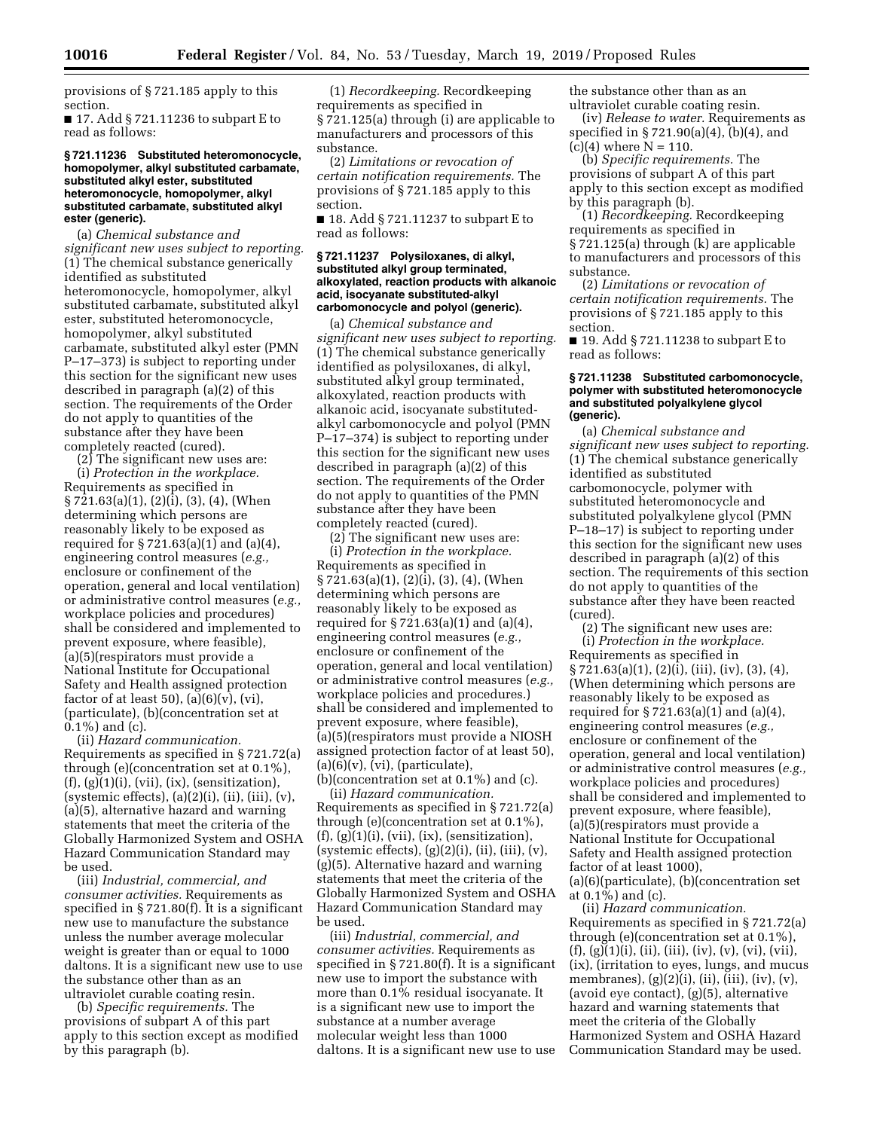provisions of § 721.185 apply to this section.

■ 17. Add § 721.11236 to subpart E to read as follows:

#### **§ 721.11236 Substituted heteromonocycle, homopolymer, alkyl substituted carbamate, substituted alkyl ester, substituted heteromonocycle, homopolymer, alkyl substituted carbamate, substituted alkyl ester (generic).**

(a) *Chemical substance and significant new uses subject to reporting.*  (1) The chemical substance generically identified as substituted heteromonocycle, homopolymer, alkyl substituted carbamate, substituted alkyl ester, substituted heteromonocycle, homopolymer, alkyl substituted carbamate, substituted alkyl ester (PMN P–17–373) is subject to reporting under this section for the significant new uses described in paragraph (a)(2) of this section. The requirements of the Order do not apply to quantities of the substance after they have been completely reacted (cured).

(2) The significant new uses are:

(i) *Protection in the workplace.*  Requirements as specified in  $\S 721.63(a)(1), (2)(i), (3), (4), (When$ determining which persons are reasonably likely to be exposed as required for § 721.63(a)(1) and (a)(4), engineering control measures (*e.g.,*  enclosure or confinement of the operation, general and local ventilation) or administrative control measures (*e.g.,*  workplace policies and procedures) shall be considered and implemented to prevent exposure, where feasible), (a)(5)(respirators must provide a National Institute for Occupational Safety and Health assigned protection factor of at least 50),  $(a)(6)(v)$ ,  $(vi)$ , (particulate), (b)(concentration set at 0.1%) and (c).

(ii) *Hazard communication.*  Requirements as specified in § 721.72(a) through (e)(concentration set at 0.1%),  $(f), (g)(1)(i), (vii), (ix), (sensitivityation),$ (systemic effects),  $(a)(2)(i)$ ,  $(ii)$ ,  $(iii)$ ,  $(v)$ , (a)(5), alternative hazard and warning statements that meet the criteria of the Globally Harmonized System and OSHA Hazard Communication Standard may be used.

(iii) *Industrial, commercial, and consumer activities.* Requirements as specified in § 721.80(f). It is a significant new use to manufacture the substance unless the number average molecular weight is greater than or equal to 1000 daltons. It is a significant new use to use the substance other than as an ultraviolet curable coating resin.

(b) *Specific requirements.* The provisions of subpart A of this part apply to this section except as modified by this paragraph (b).

(1) *Recordkeeping.* Recordkeeping requirements as specified in § 721.125(a) through (i) are applicable to manufacturers and processors of this substance.

(2) *Limitations or revocation of certain notification requirements.* The provisions of § 721.185 apply to this section.

■ 18. Add § 721.11237 to subpart E to read as follows:

#### **§ 721.11237 Polysiloxanes, di alkyl, substituted alkyl group terminated, alkoxylated, reaction products with alkanoic acid, isocyanate substituted-alkyl carbomonocycle and polyol (generic).**

(a) *Chemical substance and significant new uses subject to reporting.*  (1) The chemical substance generically identified as polysiloxanes, di alkyl, substituted alkyl group terminated, alkoxylated, reaction products with alkanoic acid, isocyanate substitutedalkyl carbomonocycle and polyol (PMN P–17–374) is subject to reporting under this section for the significant new uses described in paragraph (a)(2) of this section. The requirements of the Order do not apply to quantities of the PMN substance after they have been completely reacted (cured).

(2) The significant new uses are: (i) *Protection in the workplace.*  Requirements as specified in § 721.63(a)(1), (2)(i), (3), (4), (When determining which persons are reasonably likely to be exposed as required for § 721.63(a)(1) and (a)(4), engineering control measures (*e.g.,*  enclosure or confinement of the operation, general and local ventilation) or administrative control measures (*e.g.,*  workplace policies and procedures.) shall be considered and implemented to prevent exposure, where feasible), (a)(5)(respirators must provide a NIOSH assigned protection factor of at least 50),  $(a)(6)(v)$ ,  $(vi)$ ,  $(particle)$ , (b)(concentration set at 0.1%) and (c).

(ii) *Hazard communication.*  Requirements as specified in § 721.72(a) through (e)(concentration set at 0.1%),  $(f), (g)(1)(i), (vii), (ix), (sensitivityation),$  $(s$ ystemic effects $\mathcal{L}(g)(2)(i)$ ,  $(ii)$ ,  $(iii)$ ,  $(v)$ , (g)(5). Alternative hazard and warning statements that meet the criteria of the Globally Harmonized System and OSHA Hazard Communication Standard may be used.

(iii) *Industrial, commercial, and consumer activities.* Requirements as specified in § 721.80(f). It is a significant new use to import the substance with more than 0.1% residual isocyanate. It is a significant new use to import the substance at a number average molecular weight less than 1000 daltons. It is a significant new use to use the substance other than as an ultraviolet curable coating resin.

(iv) *Release to water.* Requirements as specified in § 721.90(a)(4), (b)(4), and  $(c)(4)$  where  $N = 110$ .

(b) *Specific requirements.* The provisions of subpart A of this part apply to this section except as modified by this paragraph (b).

(1) *Recordkeeping.* Recordkeeping requirements as specified in § 721.125(a) through (k) are applicable to manufacturers and processors of this substance.

(2) *Limitations or revocation of certain notification requirements.* The provisions of § 721.185 apply to this section.

■ 19. Add § 721.11238 to subpart E to read as follows:

#### **§ 721.11238 Substituted carbomonocycle, polymer with substituted heteromonocycle and substituted polyalkylene glycol (generic).**

(a) *Chemical substance and significant new uses subject to reporting.*  (1) The chemical substance generically identified as substituted carbomonocycle, polymer with substituted heteromonocycle and substituted polyalkylene glycol (PMN P–18–17) is subject to reporting under this section for the significant new uses described in paragraph (a)(2) of this section. The requirements of this section do not apply to quantities of the substance after they have been reacted (cured).

(2) The significant new uses are: (i) *Protection in the workplace.*  Requirements as specified in § 721.63(a)(1), (2)(i), (iii), (iv), (3), (4), (When determining which persons are reasonably likely to be exposed as required for  $\S 721.63(a)(1)$  and  $(a)(4)$ , engineering control measures (*e.g.,*  enclosure or confinement of the operation, general and local ventilation) or administrative control measures (*e.g.,*  workplace policies and procedures) shall be considered and implemented to prevent exposure, where feasible), (a)(5)(respirators must provide a National Institute for Occupational Safety and Health assigned protection factor of at least 1000), (a)(6)(particulate), (b)(concentration set

at 0.1%) and (c).

(ii) *Hazard communication.*  Requirements as specified in § 721.72(a) through (e)(concentration set at 0.1%),  $(f), (g)(1)(i), (ii), (iii), (iv), (v), (vi), (vii),$ (ix), (irritation to eyes, lungs, and mucus membranes), (g)(2)(i), (ii), (iii), (iv), (v), (avoid eye contact), (g)(5), alternative hazard and warning statements that meet the criteria of the Globally Harmonized System and OSHA Hazard Communication Standard may be used.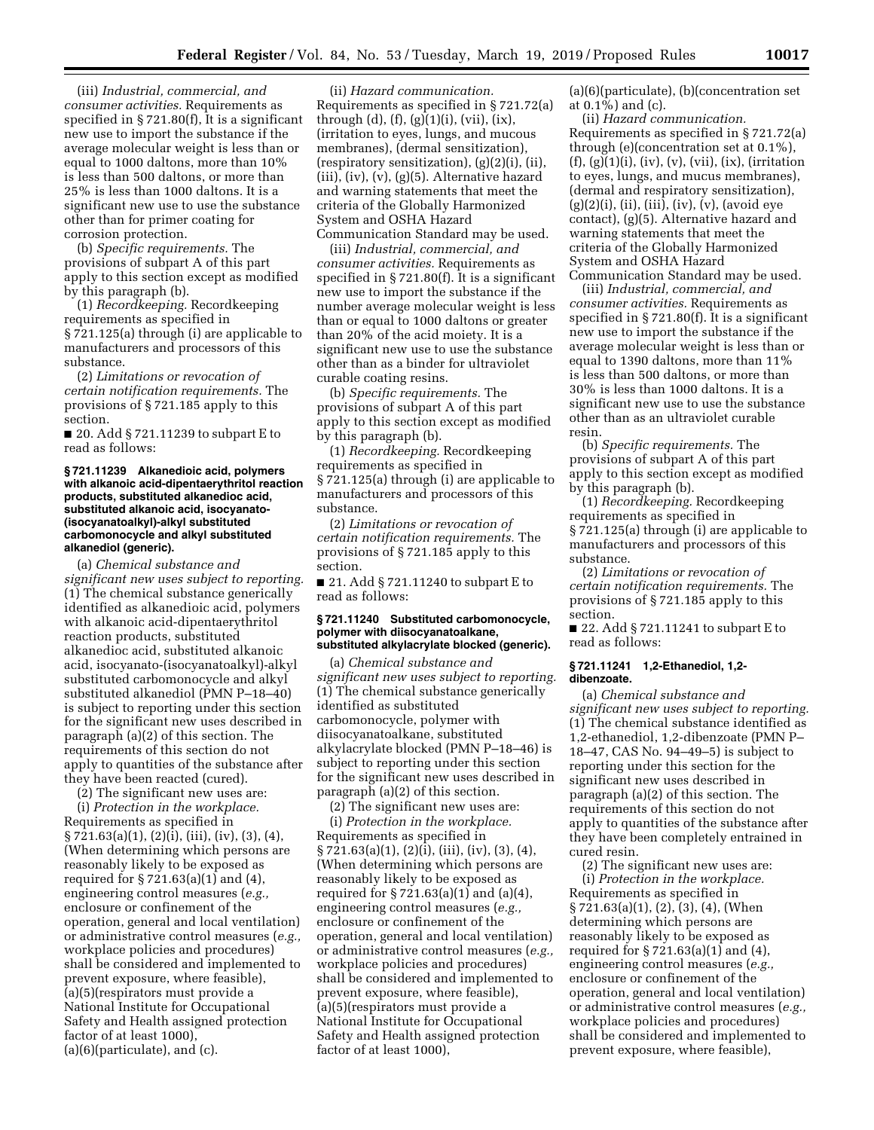(iii) *Industrial, commercial, and consumer activities.* Requirements as specified in § 721.80(f), It is a significant new use to import the substance if the average molecular weight is less than or equal to 1000 daltons, more than 10% is less than 500 daltons, or more than 25% is less than 1000 daltons. It is a significant new use to use the substance other than for primer coating for corrosion protection.

(b) *Specific requirements.* The provisions of subpart A of this part apply to this section except as modified by this paragraph (b).

(1) *Recordkeeping.* Recordkeeping requirements as specified in § 721.125(a) through (i) are applicable to manufacturers and processors of this substance.

(2) *Limitations or revocation of certain notification requirements.* The provisions of § 721.185 apply to this section.

■ 20. Add § 721.11239 to subpart E to read as follows:

### **§ 721.11239 Alkanedioic acid, polymers with alkanoic acid-dipentaerythritol reaction products, substituted alkanedioc acid, substituted alkanoic acid, isocyanato- (isocyanatoalkyl)-alkyl substituted carbomonocycle and alkyl substituted alkanediol (generic).**

(a) *Chemical substance and significant new uses subject to reporting.*  (1) The chemical substance generically identified as alkanedioic acid, polymers with alkanoic acid-dipentaerythritol reaction products, substituted alkanedioc acid, substituted alkanoic acid, isocyanato-(isocyanatoalkyl)-alkyl substituted carbomonocycle and alkyl substituted alkanediol (PMN P–18–40) is subject to reporting under this section for the significant new uses described in paragraph (a)(2) of this section. The requirements of this section do not apply to quantities of the substance after they have been reacted (cured).

(2) The significant new uses are:

(i) *Protection in the workplace.*  Requirements as specified in § 721.63(a)(1), (2)(i), (iii), (iv), (3), (4), (When determining which persons are reasonably likely to be exposed as required for § 721.63(a)(1) and (4), engineering control measures (*e.g.,*  enclosure or confinement of the operation, general and local ventilation) or administrative control measures (*e.g.,*  workplace policies and procedures) shall be considered and implemented to prevent exposure, where feasible), (a)(5)(respirators must provide a National Institute for Occupational Safety and Health assigned protection factor of at least 1000), (a)(6)(particulate), and (c).

(ii) *Hazard communication.*  Requirements as specified in § 721.72(a) through (d),  $(f)$ ,  $(g)(1)(i)$ ,  $(vii)$ ,  $(ix)$ , (irritation to eyes, lungs, and mucous membranes), (dermal sensitization), (respiratory sensitization), (g)(2)(i), (ii), (iii), (iv), (v), (g)(5). Alternative hazard and warning statements that meet the criteria of the Globally Harmonized System and OSHA Hazard Communication Standard may be used.

(iii) *Industrial, commercial, and consumer activities.* Requirements as specified in § 721.80(f). It is a significant new use to import the substance if the number average molecular weight is less than or equal to 1000 daltons or greater than 20% of the acid moiety. It is a significant new use to use the substance other than as a binder for ultraviolet curable coating resins.

(b) *Specific requirements.* The provisions of subpart A of this part apply to this section except as modified by this paragraph (b).

(1) *Recordkeeping.* Recordkeeping requirements as specified in § 721.125(a) through (i) are applicable to manufacturers and processors of this substance.

(2) *Limitations or revocation of certain notification requirements.* The provisions of § 721.185 apply to this section.

■ 21. Add § 721.11240 to subpart E to read as follows:

# **§ 721.11240 Substituted carbomonocycle, polymer with diisocyanatoalkane, substituted alkylacrylate blocked (generic).**

(a) *Chemical substance and significant new uses subject to reporting.*  (1) The chemical substance generically identified as substituted carbomonocycle, polymer with diisocyanatoalkane, substituted alkylacrylate blocked (PMN P–18–46) is subject to reporting under this section for the significant new uses described in paragraph (a)(2) of this section.

(2) The significant new uses are: (i) *Protection in the workplace.*  Requirements as specified in § 721.63(a)(1), (2)(i), (iii), (iv), (3), (4), (When determining which persons are reasonably likely to be exposed as required for § 721.63(a)(1) and (a)(4), engineering control measures (*e.g.,*  enclosure or confinement of the operation, general and local ventilation) or administrative control measures (*e.g.,*  workplace policies and procedures) shall be considered and implemented to prevent exposure, where feasible), (a)(5)(respirators must provide a National Institute for Occupational Safety and Health assigned protection factor of at least 1000),

(a)(6)(particulate), (b)(concentration set at 0.1%) and (c).

(ii) *Hazard communication.*  Requirements as specified in § 721.72(a) through (e)(concentration set at 0.1%),  $(f), (g)(1)(i), (iv), (v), (vii), (ix), (irritation)$ to eyes, lungs, and mucus membranes), (dermal and respiratory sensitization), (g)(2)(i), (ii), (iii), (iv), (v), (avoid eye contact), (g)(5). Alternative hazard and warning statements that meet the criteria of the Globally Harmonized System and OSHA Hazard Communication Standard may be used.

(iii) *Industrial, commercial, and consumer activities.* Requirements as specified in § 721.80(f). It is a significant new use to import the substance if the average molecular weight is less than or equal to 1390 daltons, more than 11% is less than 500 daltons, or more than 30% is less than 1000 daltons. It is a significant new use to use the substance other than as an ultraviolet curable resin.

(b) *Specific requirements.* The provisions of subpart A of this part apply to this section except as modified by this paragraph (b).

(1) *Recordkeeping.* Recordkeeping requirements as specified in § 721.125(a) through (i) are applicable to manufacturers and processors of this substance.

(2) *Limitations or revocation of certain notification requirements.* The provisions of § 721.185 apply to this section.

■ 22. Add § 721.11241 to subpart E to read as follows:

### **§ 721.11241 1,2-Ethanediol, 1,2 dibenzoate.**

(a) *Chemical substance and significant new uses subject to reporting.*  (1) The chemical substance identified as 1,2-ethanediol, 1,2-dibenzoate (PMN P– 18–47, CAS No. 94–49–5) is subject to reporting under this section for the significant new uses described in paragraph (a)(2) of this section. The requirements of this section do not apply to quantities of the substance after they have been completely entrained in cured resin.

(2) The significant new uses are: (i) *Protection in the workplace.*  Requirements as specified in § 721.63(a)(1), (2), (3), (4), (When determining which persons are reasonably likely to be exposed as required for § 721.63(a)(1) and (4), engineering control measures (*e.g.,*  enclosure or confinement of the operation, general and local ventilation) or administrative control measures (*e.g.,*  workplace policies and procedures) shall be considered and implemented to prevent exposure, where feasible),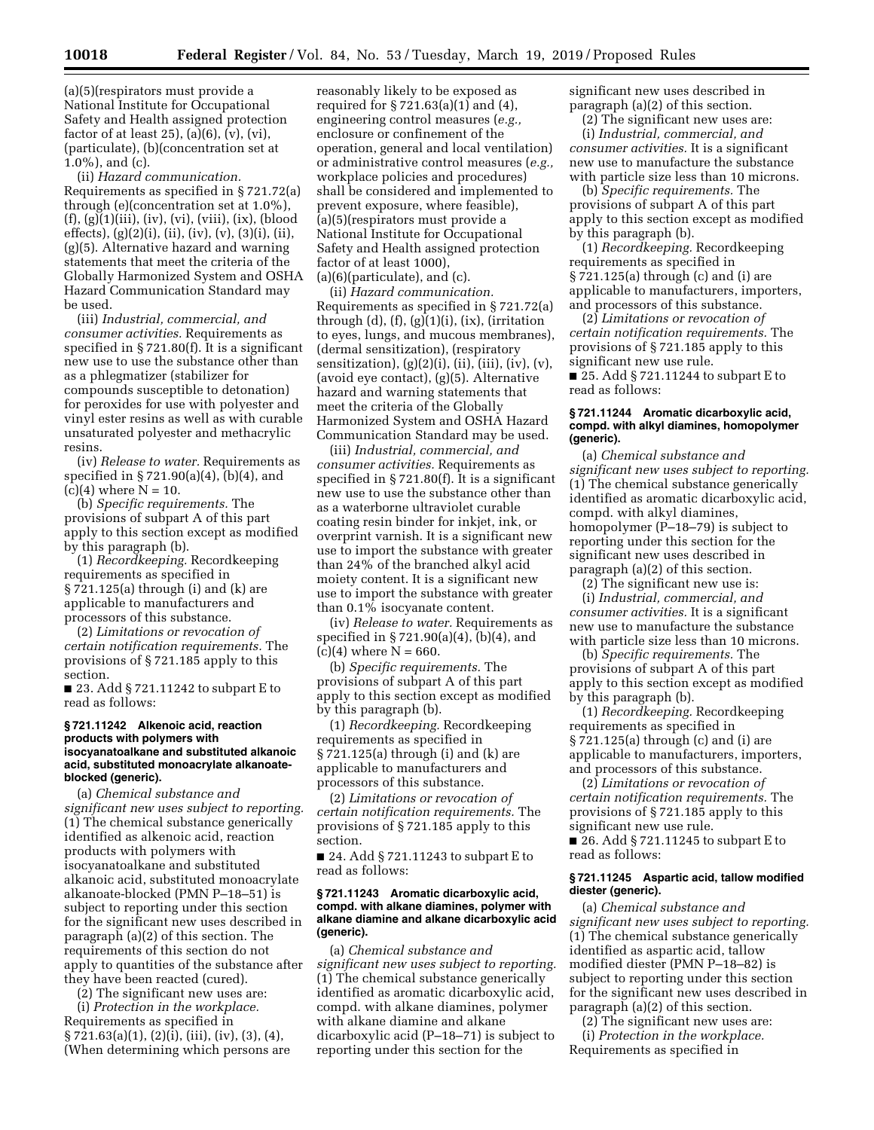(a)(5)(respirators must provide a National Institute for Occupational Safety and Health assigned protection factor of at least 25),  $(a)(6)$ ,  $(v)$ ,  $(vi)$ , (particulate), (b)(concentration set at 1.0%), and (c).

(ii) *Hazard communication.*  Requirements as specified in § 721.72(a) through (e)(concentration set at 1.0%), (f), (g)(1)(iii), (iv), (vi), (viii), (ix), (blood effects), (g)(2)(i), (ii), (iv), (v), (3)(i), (ii), (g)(5). Alternative hazard and warning statements that meet the criteria of the Globally Harmonized System and OSHA Hazard Communication Standard may be used.

(iii) *Industrial, commercial, and consumer activities.* Requirements as specified in § 721.80(f). It is a significant new use to use the substance other than as a phlegmatizer (stabilizer for compounds susceptible to detonation) for peroxides for use with polyester and vinyl ester resins as well as with curable unsaturated polyester and methacrylic resins.

(iv) *Release to water.* Requirements as specified in § 721.90(a)(4), (b)(4), and  $(c)(4)$  where  $N = 10$ .

(b) *Specific requirements.* The provisions of subpart A of this part apply to this section except as modified by this paragraph (b).

(1) *Recordkeeping.* Recordkeeping requirements as specified in § 721.125(a) through (i) and (k) are applicable to manufacturers and processors of this substance.

(2) *Limitations or revocation of certain notification requirements.* The provisions of § 721.185 apply to this section.

■ 23. Add § 721.11242 to subpart E to read as follows:

### **§ 721.11242 Alkenoic acid, reaction products with polymers with isocyanatoalkane and substituted alkanoic acid, substituted monoacrylate alkanoateblocked (generic).**

(a) *Chemical substance and significant new uses subject to reporting.*  (1) The chemical substance generically identified as alkenoic acid, reaction products with polymers with isocyanatoalkane and substituted alkanoic acid, substituted monoacrylate alkanoate-blocked (PMN P–18–51) is subject to reporting under this section for the significant new uses described in paragraph (a)(2) of this section. The requirements of this section do not apply to quantities of the substance after they have been reacted (cured).

(2) The significant new uses are:

(i) *Protection in the workplace.*  Requirements as specified in  $\S 721.63(a)(1), (2)(i), (iii), (iv), (3), (4),$ (When determining which persons are

reasonably likely to be exposed as required for § 721.63(a)(1) and (4), engineering control measures (*e.g.,*  enclosure or confinement of the operation, general and local ventilation) or administrative control measures (*e.g.,*  workplace policies and procedures) shall be considered and implemented to prevent exposure, where feasible), (a)(5)(respirators must provide a National Institute for Occupational Safety and Health assigned protection factor of at least 1000), (a)(6)(particulate), and (c).

(ii) *Hazard communication.*  Requirements as specified in § 721.72(a) through  $(d)$ ,  $(f)$ ,  $(g)(1)(i)$ ,  $(ix)$ , (irritation to eyes, lungs, and mucous membranes), (dermal sensitization), (respiratory sensitization),  $(g)(2)(i)$ ,  $(ii)$ ,  $(iii)$ ,  $(iv)$ ,  $(v)$ , (avoid eye contact), (g)(5). Alternative hazard and warning statements that meet the criteria of the Globally Harmonized System and OSHA Hazard Communication Standard may be used.

(iii) *Industrial, commercial, and consumer activities.* Requirements as specified in § 721.80(f). It is a significant new use to use the substance other than as a waterborne ultraviolet curable coating resin binder for inkjet, ink, or overprint varnish. It is a significant new use to import the substance with greater than 24% of the branched alkyl acid moiety content. It is a significant new use to import the substance with greater than 0.1% isocyanate content.

(iv) *Release to water.* Requirements as specified in § 721.90(a)(4), (b)(4), and  $(c)(4)$  where  $N = 660$ .

(b) *Specific requirements.* The provisions of subpart A of this part apply to this section except as modified by this paragraph (b).

(1) *Recordkeeping.* Recordkeeping requirements as specified in § 721.125(a) through (i) and (k) are applicable to manufacturers and processors of this substance.

(2) *Limitations or revocation of certain notification requirements.* The provisions of § 721.185 apply to this section.

■ 24. Add § 721.11243 to subpart E to read as follows:

## **§ 721.11243 Aromatic dicarboxylic acid, compd. with alkane diamines, polymer with alkane diamine and alkane dicarboxylic acid (generic).**

(a) *Chemical substance and significant new uses subject to reporting.*  (1) The chemical substance generically identified as aromatic dicarboxylic acid, compd. with alkane diamines, polymer with alkane diamine and alkane dicarboxylic acid (P–18–71) is subject to reporting under this section for the

significant new uses described in paragraph (a)(2) of this section.

(2) The significant new uses are: (i) *Industrial, commercial, and consumer activities.* It is a significant new use to manufacture the substance with particle size less than 10 microns.

(b) *Specific requirements.* The provisions of subpart A of this part apply to this section except as modified by this paragraph (b).

(1) *Recordkeeping.* Recordkeeping requirements as specified in § 721.125(a) through (c) and (i) are applicable to manufacturers, importers, and processors of this substance.

(2) *Limitations or revocation of certain notification requirements.* The provisions of § 721.185 apply to this significant new use rule.

■ 25. Add § 721.11244 to subpart E to read as follows:

### **§ 721.11244 Aromatic dicarboxylic acid, compd. with alkyl diamines, homopolymer (generic).**

(a) *Chemical substance and significant new uses subject to reporting.*  (1) The chemical substance generically identified as aromatic dicarboxylic acid, compd. with alkyl diamines, homopolymer (P–18–79) is subject to reporting under this section for the significant new uses described in paragraph (a)(2) of this section.

(2) The significant new use is: (i) *Industrial, commercial, and consumer activities.* It is a significant new use to manufacture the substance with particle size less than 10 microns.

(b) *Specific requirements.* The provisions of subpart A of this part apply to this section except as modified by this paragraph (b).

(1) *Recordkeeping.* Recordkeeping requirements as specified in § 721.125(a) through (c) and (i) are applicable to manufacturers, importers, and processors of this substance.

(2) *Limitations or revocation of certain notification requirements.* The provisions of § 721.185 apply to this significant new use rule.

■ 26. Add § 721.11245 to subpart E to read as follows:

# **§ 721.11245 Aspartic acid, tallow modified diester (generic).**

(a) *Chemical substance and significant new uses subject to reporting.*  (1) The chemical substance generically identified as aspartic acid, tallow modified diester (PMN P–18–82) is subject to reporting under this section for the significant new uses described in paragraph (a)(2) of this section.

(2) The significant new uses are: (i) *Protection in the workplace.*  Requirements as specified in